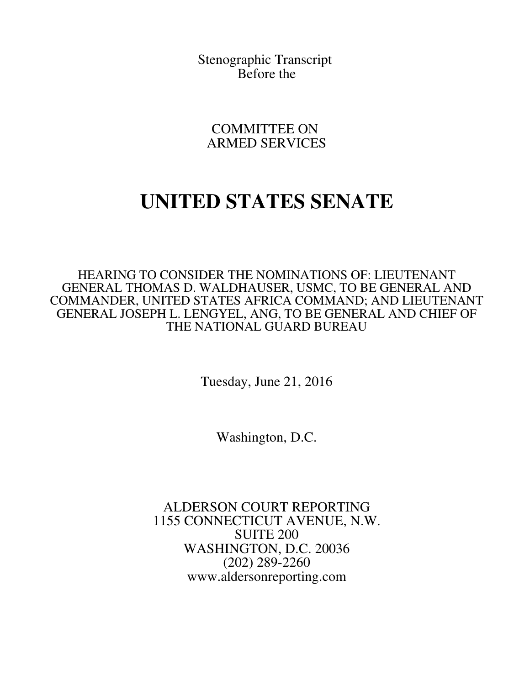Stenographic Transcript Before the

COMMITTEE ON ARMED SERVICES

## **UNITED STATES SENATE**

HEARING TO CONSIDER THE NOMINATIONS OF: LIEUTENANT GENERAL THOMAS D. WALDHAUSER, USMC, TO BE GENERAL AND COMMANDER, UNITED STATES AFRICA COMMAND; AND LIEUTENANT GENERAL JOSEPH L. LENGYEL, ANG, TO BE GENERAL AND CHIEF OF THE NATIONAL GUARD BUREAU

Tuesday, June 21, 2016

Washington, D.C.

ALDERSON COURT REPORTING 1155 CONNECTICUT AVENUE, N.W. SUITE 200 WASHINGTON, D.C. 20036 (202) 289-2260 www.aldersonreporting.com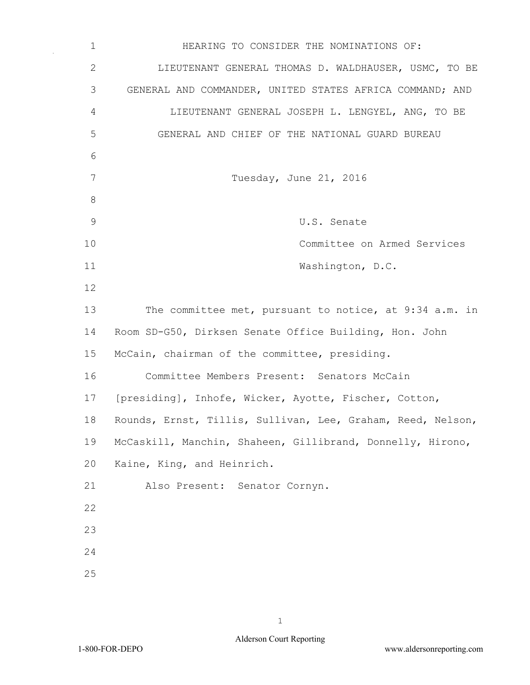1 HEARING TO CONSIDER THE NOMINATIONS OF: 2 LIEUTENANT GENERAL THOMAS D. WALDHAUSER, USMC, TO BE 3 GENERAL AND COMMANDER, UNITED STATES AFRICA COMMAND; AND 4 LIEUTENANT GENERAL JOSEPH L. LENGYEL, ANG, TO BE 5 GENERAL AND CHIEF OF THE NATIONAL GUARD BUREAU 6 7 Tuesday, June 21, 2016 8 9 U.S. Senate 10 Committee on Armed Services 11 Washington, D.C. 12 13 The committee met, pursuant to notice, at 9:34 a.m. in 14 Room SD-G50, Dirksen Senate Office Building, Hon. John 15 McCain, chairman of the committee, presiding. 16 Committee Members Present: Senators McCain 17 [presiding], Inhofe, Wicker, Ayotte, Fischer, Cotton, 18 Rounds, Ernst, Tillis, Sullivan, Lee, Graham, Reed, Nelson, 19 McCaskill, Manchin, Shaheen, Gillibrand, Donnelly, Hirono, 20 Kaine, King, and Heinrich. 21 Also Present: Senator Cornyn. 22 23 24 25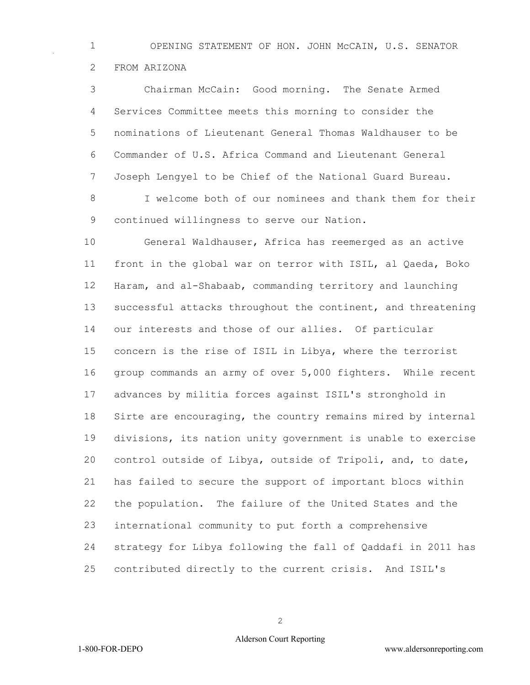OPENING STATEMENT OF HON. JOHN McCAIN, U.S. SENATOR FROM ARIZONA

 Chairman McCain: Good morning. The Senate Armed Services Committee meets this morning to consider the nominations of Lieutenant General Thomas Waldhauser to be Commander of U.S. Africa Command and Lieutenant General Joseph Lengyel to be Chief of the National Guard Bureau.

 I welcome both of our nominees and thank them for their continued willingness to serve our Nation.

 General Waldhauser, Africa has reemerged as an active front in the global war on terror with ISIL, al Qaeda, Boko Haram, and al-Shabaab, commanding territory and launching successful attacks throughout the continent, and threatening our interests and those of our allies. Of particular concern is the rise of ISIL in Libya, where the terrorist group commands an army of over 5,000 fighters. While recent advances by militia forces against ISIL's stronghold in Sirte are encouraging, the country remains mired by internal divisions, its nation unity government is unable to exercise control outside of Libya, outside of Tripoli, and, to date, has failed to secure the support of important blocs within the population. The failure of the United States and the international community to put forth a comprehensive strategy for Libya following the fall of Qaddafi in 2011 has contributed directly to the current crisis. And ISIL's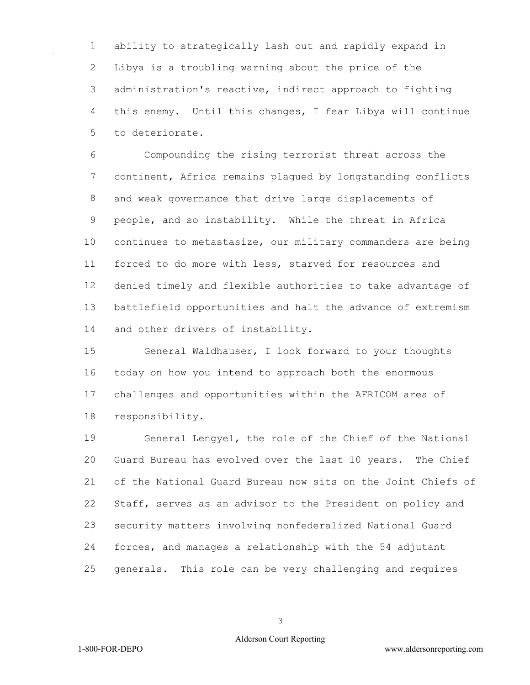ability to strategically lash out and rapidly expand in Libya is a troubling warning about the price of the administration's reactive, indirect approach to fighting this enemy. Until this changes, I fear Libya will continue to deteriorate.

 Compounding the rising terrorist threat across the continent, Africa remains plagued by longstanding conflicts and weak governance that drive large displacements of people, and so instability. While the threat in Africa continues to metastasize, our military commanders are being forced to do more with less, starved for resources and denied timely and flexible authorities to take advantage of battlefield opportunities and halt the advance of extremism and other drivers of instability.

 General Waldhauser, I look forward to your thoughts today on how you intend to approach both the enormous challenges and opportunities within the AFRICOM area of responsibility.

 General Lengyel, the role of the Chief of the National Guard Bureau has evolved over the last 10 years. The Chief of the National Guard Bureau now sits on the Joint Chiefs of Staff, serves as an advisor to the President on policy and security matters involving nonfederalized National Guard forces, and manages a relationship with the 54 adjutant generals. This role can be very challenging and requires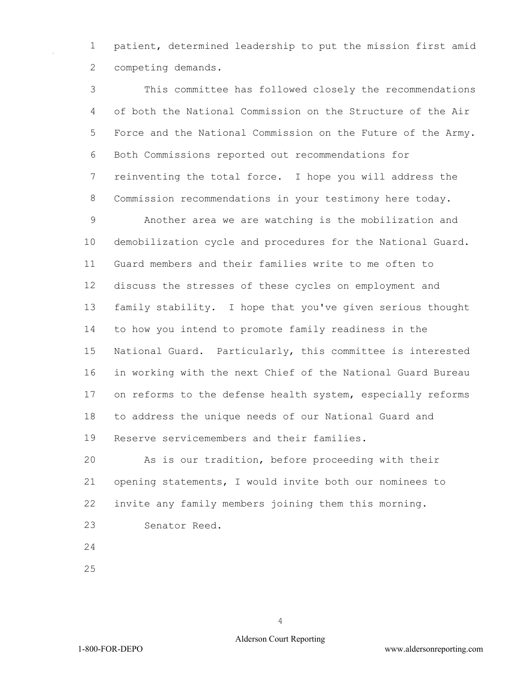patient, determined leadership to put the mission first amid competing demands.

 This committee has followed closely the recommendations of both the National Commission on the Structure of the Air Force and the National Commission on the Future of the Army. Both Commissions reported out recommendations for reinventing the total force. I hope you will address the Commission recommendations in your testimony here today. Another area we are watching is the mobilization and demobilization cycle and procedures for the National Guard. Guard members and their families write to me often to discuss the stresses of these cycles on employment and family stability. I hope that you've given serious thought to how you intend to promote family readiness in the National Guard. Particularly, this committee is interested in working with the next Chief of the National Guard Bureau on reforms to the defense health system, especially reforms to address the unique needs of our National Guard and Reserve servicemembers and their families.

 As is our tradition, before proceeding with their opening statements, I would invite both our nominees to invite any family members joining them this morning.

- Senator Reed.
- 
-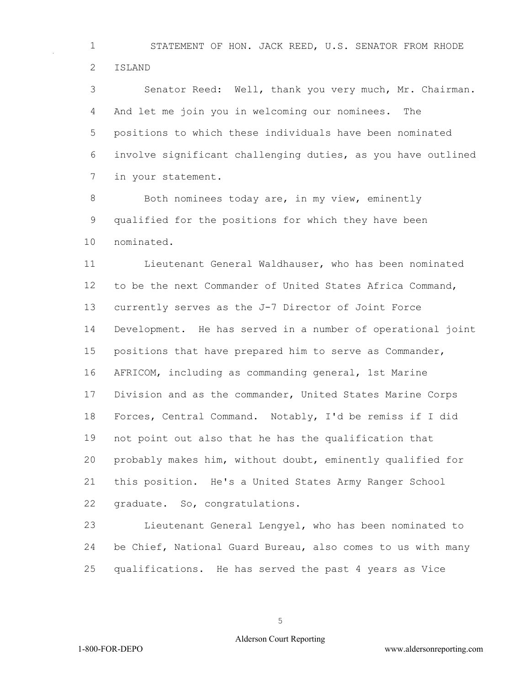STATEMENT OF HON. JACK REED, U.S. SENATOR FROM RHODE ISLAND

 Senator Reed: Well, thank you very much, Mr. Chairman. And let me join you in welcoming our nominees. The positions to which these individuals have been nominated involve significant challenging duties, as you have outlined in your statement.

8 Both nominees today are, in my view, eminently qualified for the positions for which they have been nominated.

 Lieutenant General Waldhauser, who has been nominated to be the next Commander of United States Africa Command, currently serves as the J-7 Director of Joint Force Development. He has served in a number of operational joint positions that have prepared him to serve as Commander, AFRICOM, including as commanding general, 1st Marine Division and as the commander, United States Marine Corps Forces, Central Command. Notably, I'd be remiss if I did not point out also that he has the qualification that probably makes him, without doubt, eminently qualified for this position. He's a United States Army Ranger School graduate. So, congratulations.

 Lieutenant General Lengyel, who has been nominated to be Chief, National Guard Bureau, also comes to us with many qualifications. He has served the past 4 years as Vice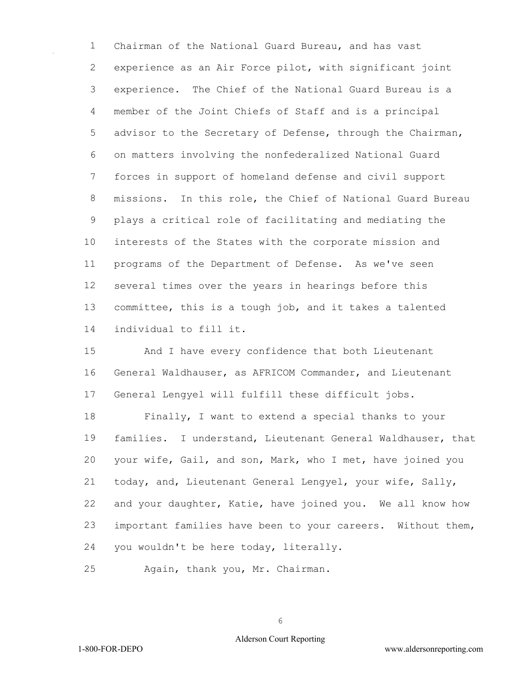Chairman of the National Guard Bureau, and has vast experience as an Air Force pilot, with significant joint experience. The Chief of the National Guard Bureau is a member of the Joint Chiefs of Staff and is a principal advisor to the Secretary of Defense, through the Chairman, on matters involving the nonfederalized National Guard forces in support of homeland defense and civil support missions. In this role, the Chief of National Guard Bureau plays a critical role of facilitating and mediating the interests of the States with the corporate mission and programs of the Department of Defense. As we've seen several times over the years in hearings before this committee, this is a tough job, and it takes a talented individual to fill it.

 And I have every confidence that both Lieutenant General Waldhauser, as AFRICOM Commander, and Lieutenant General Lengyel will fulfill these difficult jobs.

 Finally, I want to extend a special thanks to your families. I understand, Lieutenant General Waldhauser, that your wife, Gail, and son, Mark, who I met, have joined you today, and, Lieutenant General Lengyel, your wife, Sally, and your daughter, Katie, have joined you. We all know how important families have been to your careers. Without them, you wouldn't be here today, literally.

Again, thank you, Mr. Chairman.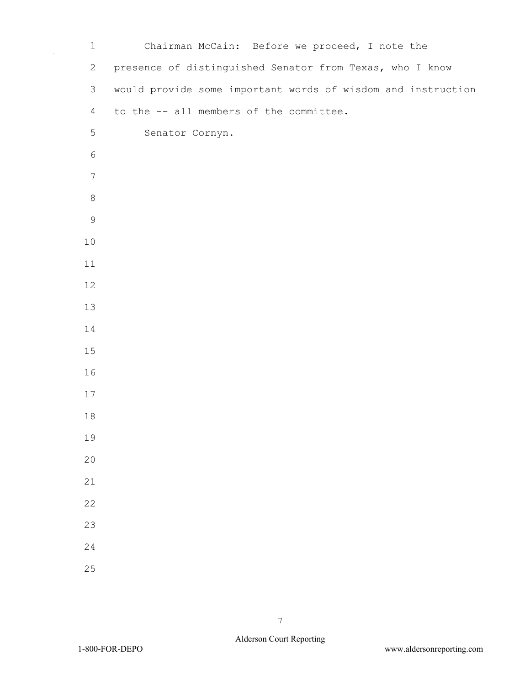| $\mathbf 1$    | Chairman McCain: Before we proceed, I note the               |
|----------------|--------------------------------------------------------------|
| $\mathbf{2}$   | presence of distinguished Senator from Texas, who I know     |
| $\mathfrak{Z}$ | would provide some important words of wisdom and instruction |
| $\overline{4}$ | to the -- all members of the committee.                      |
| 5              | Senator Cornyn.                                              |
| $\sqrt{6}$     |                                                              |
| $\overline{7}$ |                                                              |
| $\,8\,$        |                                                              |
| $\mathsf 9$    |                                                              |
| $10$           |                                                              |
| 11             |                                                              |
| 12             |                                                              |
| 13             |                                                              |
| 14             |                                                              |
| 15             |                                                              |
| 16             |                                                              |
| 17             |                                                              |
| 18             |                                                              |
| 19             |                                                              |
| 20             |                                                              |
| 21             |                                                              |
| 22             |                                                              |
| 23             |                                                              |
| 24             |                                                              |
| 25             |                                                              |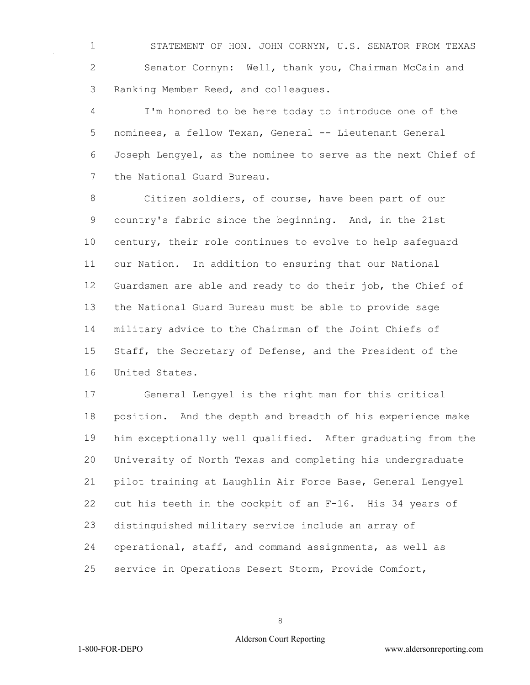STATEMENT OF HON. JOHN CORNYN, U.S. SENATOR FROM TEXAS Senator Cornyn: Well, thank you, Chairman McCain and Ranking Member Reed, and colleagues.

 I'm honored to be here today to introduce one of the nominees, a fellow Texan, General -- Lieutenant General Joseph Lengyel, as the nominee to serve as the next Chief of the National Guard Bureau.

 Citizen soldiers, of course, have been part of our country's fabric since the beginning. And, in the 21st century, their role continues to evolve to help safeguard our Nation. In addition to ensuring that our National Guardsmen are able and ready to do their job, the Chief of the National Guard Bureau must be able to provide sage military advice to the Chairman of the Joint Chiefs of Staff, the Secretary of Defense, and the President of the United States.

 General Lengyel is the right man for this critical position. And the depth and breadth of his experience make him exceptionally well qualified. After graduating from the University of North Texas and completing his undergraduate pilot training at Laughlin Air Force Base, General Lengyel cut his teeth in the cockpit of an F-16. His 34 years of distinguished military service include an array of operational, staff, and command assignments, as well as service in Operations Desert Storm, Provide Comfort,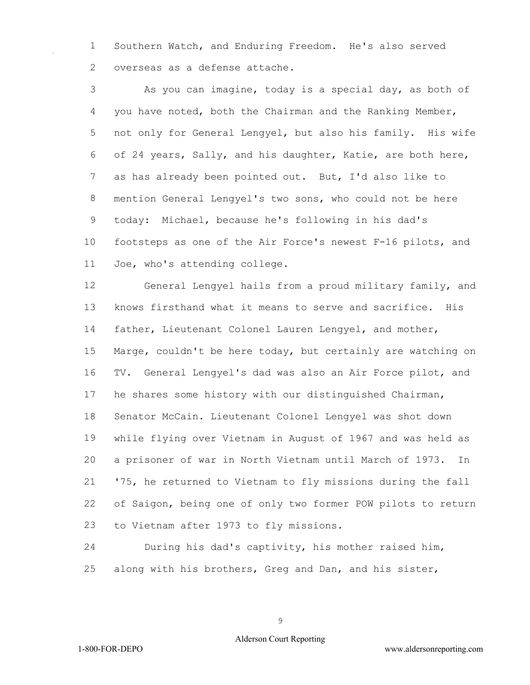Southern Watch, and Enduring Freedom. He's also served overseas as a defense attache.

 As you can imagine, today is a special day, as both of you have noted, both the Chairman and the Ranking Member, not only for General Lengyel, but also his family. His wife of 24 years, Sally, and his daughter, Katie, are both here, as has already been pointed out. But, I'd also like to mention General Lengyel's two sons, who could not be here today: Michael, because he's following in his dad's footsteps as one of the Air Force's newest F-16 pilots, and Joe, who's attending college.

 General Lengyel hails from a proud military family, and knows firsthand what it means to serve and sacrifice. His father, Lieutenant Colonel Lauren Lengyel, and mother, Marge, couldn't be here today, but certainly are watching on TV. General Lengyel's dad was also an Air Force pilot, and he shares some history with our distinguished Chairman, Senator McCain. Lieutenant Colonel Lengyel was shot down while flying over Vietnam in August of 1967 and was held as a prisoner of war in North Vietnam until March of 1973. In '75, he returned to Vietnam to fly missions during the fall of Saigon, being one of only two former POW pilots to return to Vietnam after 1973 to fly missions.

 During his dad's captivity, his mother raised him, along with his brothers, Greg and Dan, and his sister,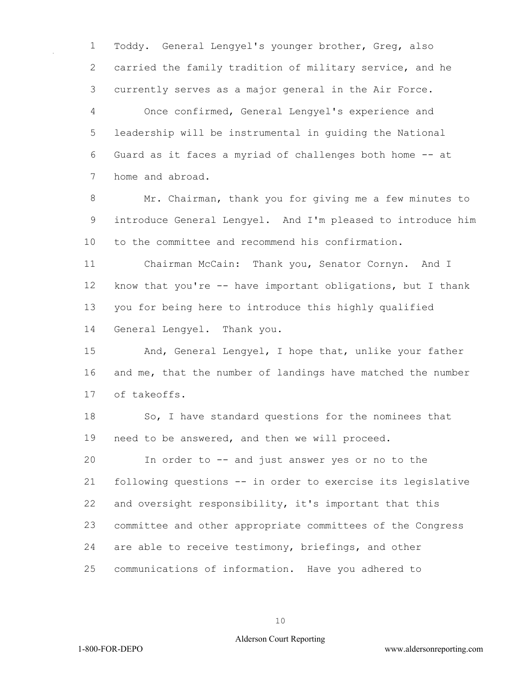Toddy. General Lengyel's younger brother, Greg, also carried the family tradition of military service, and he currently serves as a major general in the Air Force.

 Once confirmed, General Lengyel's experience and leadership will be instrumental in guiding the National Guard as it faces a myriad of challenges both home -- at home and abroad.

 Mr. Chairman, thank you for giving me a few minutes to introduce General Lengyel. And I'm pleased to introduce him to the committee and recommend his confirmation.

 Chairman McCain: Thank you, Senator Cornyn. And I know that you're -- have important obligations, but I thank you for being here to introduce this highly qualified General Lengyel. Thank you.

 And, General Lengyel, I hope that, unlike your father and me, that the number of landings have matched the number of takeoffs.

 So, I have standard questions for the nominees that need to be answered, and then we will proceed.

 In order to -- and just answer yes or no to the following questions -- in order to exercise its legislative and oversight responsibility, it's important that this committee and other appropriate committees of the Congress are able to receive testimony, briefings, and other communications of information. Have you adhered to

## Alderson Court Reporting

1-800-FOR-DEPO www.aldersonreporting.com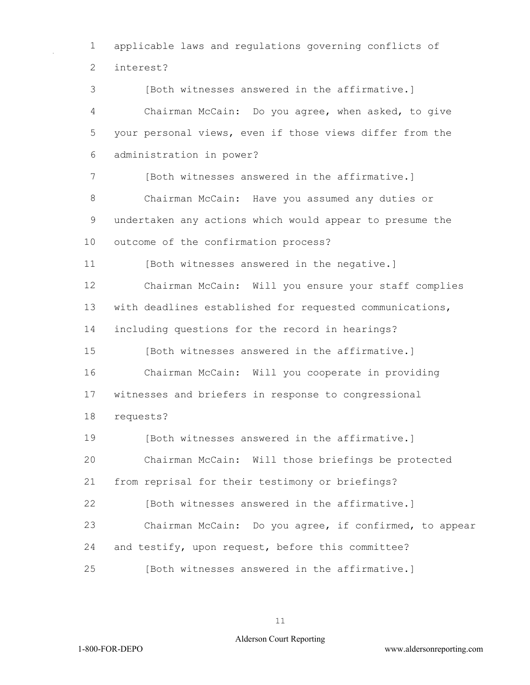applicable laws and regulations governing conflicts of interest?

 [Both witnesses answered in the affirmative.] Chairman McCain: Do you agree, when asked, to give your personal views, even if those views differ from the administration in power? 7 [Both witnesses answered in the affirmative.] Chairman McCain: Have you assumed any duties or undertaken any actions which would appear to presume the outcome of the confirmation process? [Both witnesses answered in the negative.] Chairman McCain: Will you ensure your staff complies with deadlines established for requested communications, including questions for the record in hearings? **I**Both witnesses answered in the affirmative. Chairman McCain: Will you cooperate in providing witnesses and briefers in response to congressional requests? [Both witnesses answered in the affirmative.] Chairman McCain: Will those briefings be protected from reprisal for their testimony or briefings? [Both witnesses answered in the affirmative.] Chairman McCain: Do you agree, if confirmed, to appear and testify, upon request, before this committee? [Both witnesses answered in the affirmative.]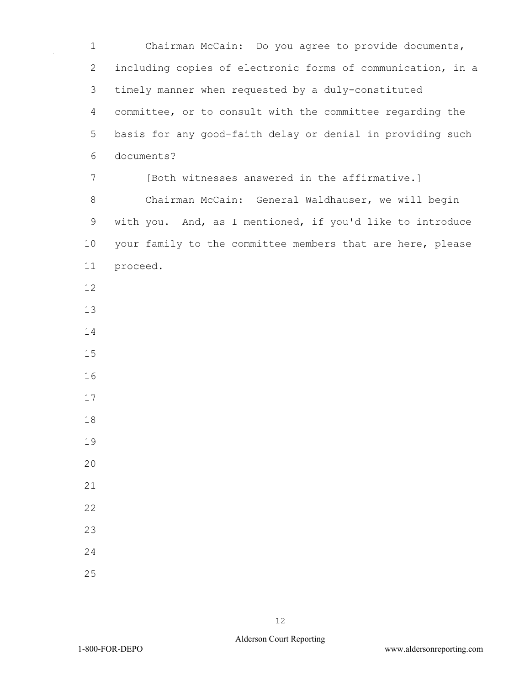1 Chairman McCain: Do you agree to provide documents, 2 including copies of electronic forms of communication, in a 3 timely manner when requested by a duly-constituted 4 committee, or to consult with the committee regarding the 5 basis for any good-faith delay or denial in providing such 6 documents? 7 [Both witnesses answered in the affirmative.] 8 Chairman McCain: General Waldhauser, we will begin 9 with you. And, as I mentioned, if you'd like to introduce 10 your family to the committee members that are here, please 11 proceed. 12 13 14 15 16 17 18 19  $20$ 21 22 23 24 25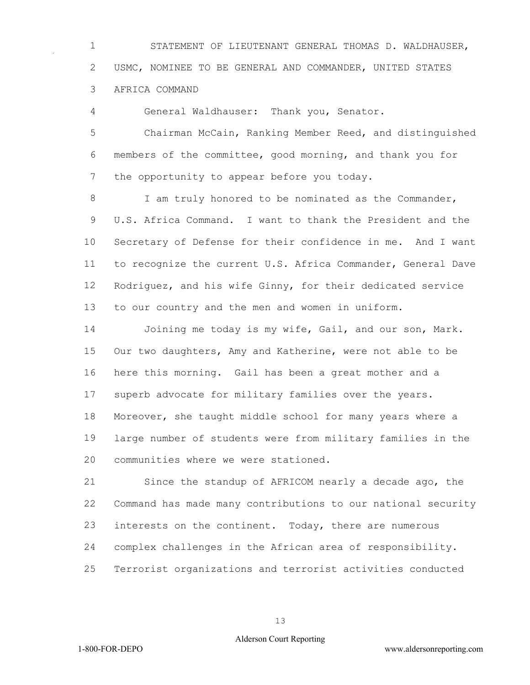STATEMENT OF LIEUTENANT GENERAL THOMAS D. WALDHAUSER, USMC, NOMINEE TO BE GENERAL AND COMMANDER, UNITED STATES AFRICA COMMAND

General Waldhauser: Thank you, Senator.

 Chairman McCain, Ranking Member Reed, and distinguished members of the committee, good morning, and thank you for 7 the opportunity to appear before you today.

8 I am truly honored to be nominated as the Commander, U.S. Africa Command. I want to thank the President and the Secretary of Defense for their confidence in me. And I want to recognize the current U.S. Africa Commander, General Dave Rodriguez, and his wife Ginny, for their dedicated service to our country and the men and women in uniform.

 Joining me today is my wife, Gail, and our son, Mark. Our two daughters, Amy and Katherine, were not able to be here this morning. Gail has been a great mother and a superb advocate for military families over the years. Moreover, she taught middle school for many years where a large number of students were from military families in the communities where we were stationed.

 Since the standup of AFRICOM nearly a decade ago, the Command has made many contributions to our national security interests on the continent. Today, there are numerous complex challenges in the African area of responsibility. Terrorist organizations and terrorist activities conducted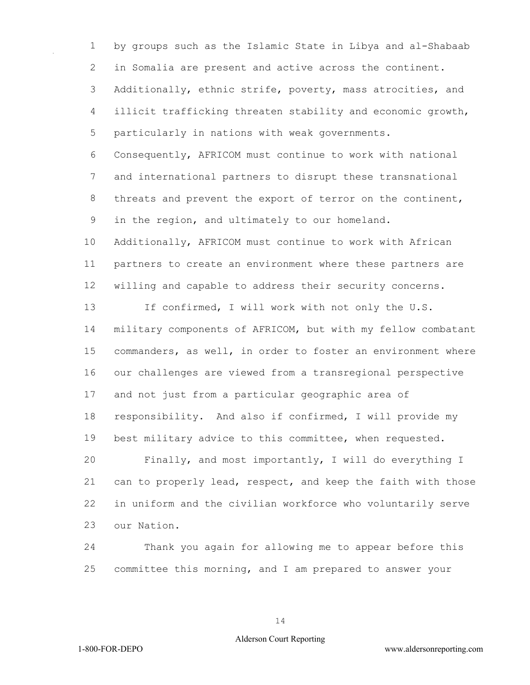by groups such as the Islamic State in Libya and al-Shabaab in Somalia are present and active across the continent. Additionally, ethnic strife, poverty, mass atrocities, and illicit trafficking threaten stability and economic growth, particularly in nations with weak governments.

 Consequently, AFRICOM must continue to work with national and international partners to disrupt these transnational threats and prevent the export of terror on the continent, in the region, and ultimately to our homeland.

 Additionally, AFRICOM must continue to work with African partners to create an environment where these partners are willing and capable to address their security concerns.

 If confirmed, I will work with not only the U.S. military components of AFRICOM, but with my fellow combatant commanders, as well, in order to foster an environment where our challenges are viewed from a transregional perspective and not just from a particular geographic area of responsibility. And also if confirmed, I will provide my best military advice to this committee, when requested.

 Finally, and most importantly, I will do everything I can to properly lead, respect, and keep the faith with those in uniform and the civilian workforce who voluntarily serve our Nation.

 Thank you again for allowing me to appear before this committee this morning, and I am prepared to answer your

## Alderson Court Reporting

1-800-FOR-DEPO www.aldersonreporting.com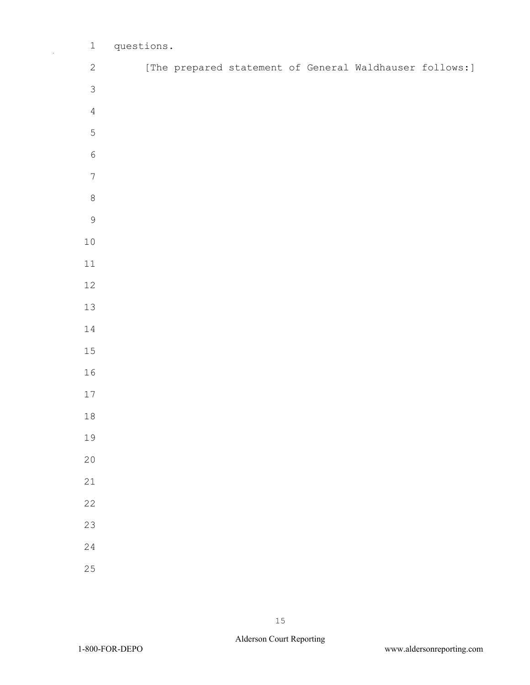| $\mathbf 1$      | questions. |  |  |                                                         |  |
|------------------|------------|--|--|---------------------------------------------------------|--|
| $\sqrt{2}$       |            |  |  | [The prepared statement of General Waldhauser follows:] |  |
| $\mathfrak{Z}$   |            |  |  |                                                         |  |
| $\sqrt{4}$       |            |  |  |                                                         |  |
| $\mathsf S$      |            |  |  |                                                         |  |
| $\sqrt{6}$       |            |  |  |                                                         |  |
| $\boldsymbol{7}$ |            |  |  |                                                         |  |
| $\,8\,$          |            |  |  |                                                         |  |
| $\mathcal{G}$    |            |  |  |                                                         |  |
| $1\,0$           |            |  |  |                                                         |  |
| $11\,$           |            |  |  |                                                         |  |
| $12\,$           |            |  |  |                                                         |  |
| 13               |            |  |  |                                                         |  |
| $1\,4$           |            |  |  |                                                         |  |
| 15               |            |  |  |                                                         |  |
| 16               |            |  |  |                                                         |  |
| $17\,$           |            |  |  |                                                         |  |
| $1\,8$           |            |  |  |                                                         |  |
| 19               |            |  |  |                                                         |  |
| 20               |            |  |  |                                                         |  |
| 21               |            |  |  |                                                         |  |
| 22               |            |  |  |                                                         |  |
| 23               |            |  |  |                                                         |  |
| 24               |            |  |  |                                                         |  |
| 25               |            |  |  |                                                         |  |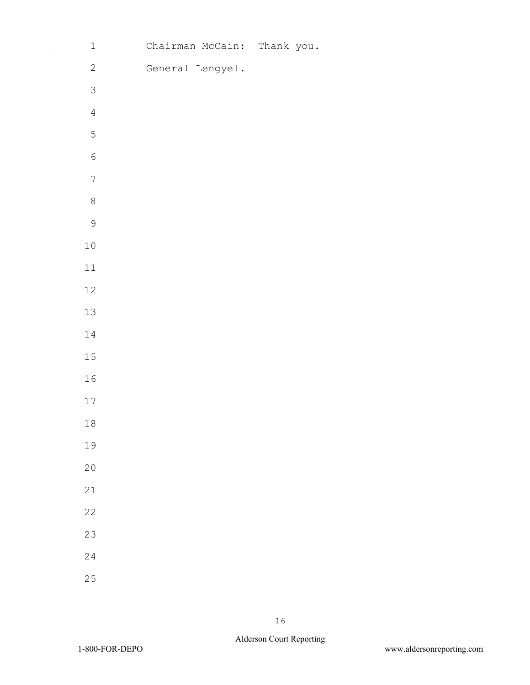| $\ensuremath{\mathbbm{1}}$ | Chairman McCain: Thank you. |  |
|----------------------------|-----------------------------|--|
| $\sqrt{2}$                 | General Lengyel.            |  |
| $\mathcal{S}$              |                             |  |
| $\sqrt{4}$                 |                             |  |
| 5                          |                             |  |
| $\sqrt{6}$                 |                             |  |
| $\boldsymbol{7}$           |                             |  |
| $\,8\,$                    |                             |  |
| $\mathsf 9$                |                             |  |
| $1\,0$                     |                             |  |
| $11\,$                     |                             |  |
| $12\,$                     |                             |  |
| $13\,$                     |                             |  |
| $1\,4$                     |                             |  |
| 15                         |                             |  |
| $16$                       |                             |  |
| $17\,$                     |                             |  |
| $18\,$                     |                             |  |
| 19                         |                             |  |
| $20$                       |                             |  |
| $2\sqrt{1}$                |                             |  |
| $2\sqrt{2}$                |                             |  |
| 23                         |                             |  |
| 24                         |                             |  |
| $2\sqrt{5}$                |                             |  |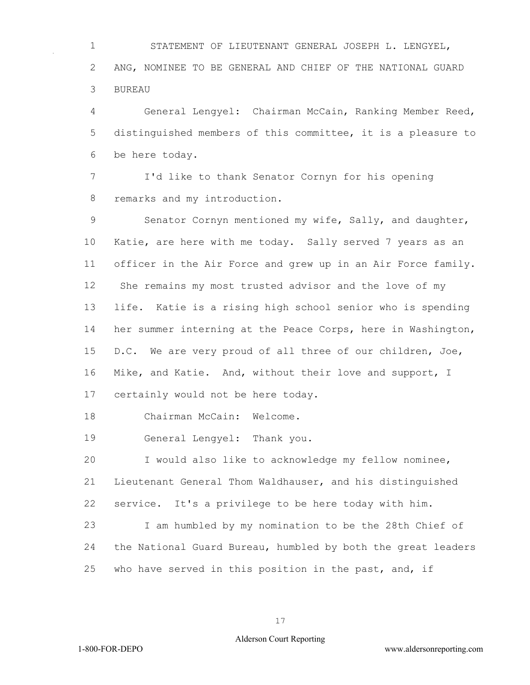STATEMENT OF LIEUTENANT GENERAL JOSEPH L. LENGYEL, ANG, NOMINEE TO BE GENERAL AND CHIEF OF THE NATIONAL GUARD BUREAU

 General Lengyel: Chairman McCain, Ranking Member Reed, distinguished members of this committee, it is a pleasure to be here today.

 I'd like to thank Senator Cornyn for his opening remarks and my introduction.

 Senator Cornyn mentioned my wife, Sally, and daughter, Katie, are here with me today. Sally served 7 years as an officer in the Air Force and grew up in an Air Force family. She remains my most trusted advisor and the love of my life. Katie is a rising high school senior who is spending her summer interning at the Peace Corps, here in Washington, D.C. We are very proud of all three of our children, Joe, Mike, and Katie. And, without their love and support, I certainly would not be here today.

Chairman McCain: Welcome.

General Lengyel: Thank you.

 I would also like to acknowledge my fellow nominee, Lieutenant General Thom Waldhauser, and his distinguished service. It's a privilege to be here today with him.

 I am humbled by my nomination to be the 28th Chief of the National Guard Bureau, humbled by both the great leaders who have served in this position in the past, and, if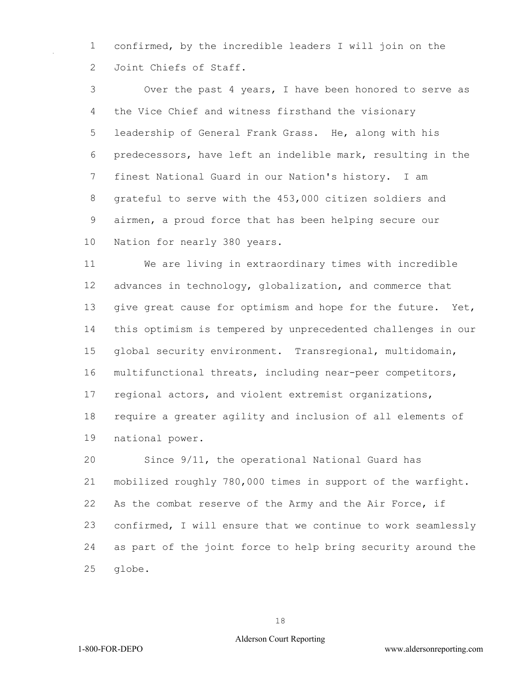confirmed, by the incredible leaders I will join on the Joint Chiefs of Staff.

 Over the past 4 years, I have been honored to serve as the Vice Chief and witness firsthand the visionary leadership of General Frank Grass. He, along with his predecessors, have left an indelible mark, resulting in the finest National Guard in our Nation's history. I am grateful to serve with the 453,000 citizen soldiers and airmen, a proud force that has been helping secure our Nation for nearly 380 years.

 We are living in extraordinary times with incredible advances in technology, globalization, and commerce that 13 give great cause for optimism and hope for the future. Yet, this optimism is tempered by unprecedented challenges in our global security environment. Transregional, multidomain, multifunctional threats, including near-peer competitors, regional actors, and violent extremist organizations, require a greater agility and inclusion of all elements of national power.

 Since 9/11, the operational National Guard has mobilized roughly 780,000 times in support of the warfight. As the combat reserve of the Army and the Air Force, if confirmed, I will ensure that we continue to work seamlessly as part of the joint force to help bring security around the globe.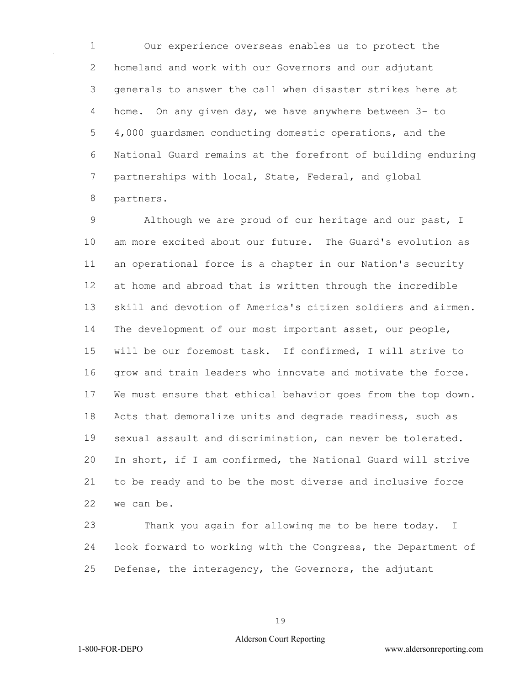Our experience overseas enables us to protect the homeland and work with our Governors and our adjutant generals to answer the call when disaster strikes here at home. On any given day, we have anywhere between 3- to 4,000 guardsmen conducting domestic operations, and the National Guard remains at the forefront of building enduring partnerships with local, State, Federal, and global partners.

 Although we are proud of our heritage and our past, I am more excited about our future. The Guard's evolution as an operational force is a chapter in our Nation's security at home and abroad that is written through the incredible skill and devotion of America's citizen soldiers and airmen. The development of our most important asset, our people, will be our foremost task. If confirmed, I will strive to grow and train leaders who innovate and motivate the force. We must ensure that ethical behavior goes from the top down. Acts that demoralize units and degrade readiness, such as sexual assault and discrimination, can never be tolerated. In short, if I am confirmed, the National Guard will strive to be ready and to be the most diverse and inclusive force we can be.

 Thank you again for allowing me to be here today. I look forward to working with the Congress, the Department of Defense, the interagency, the Governors, the adjutant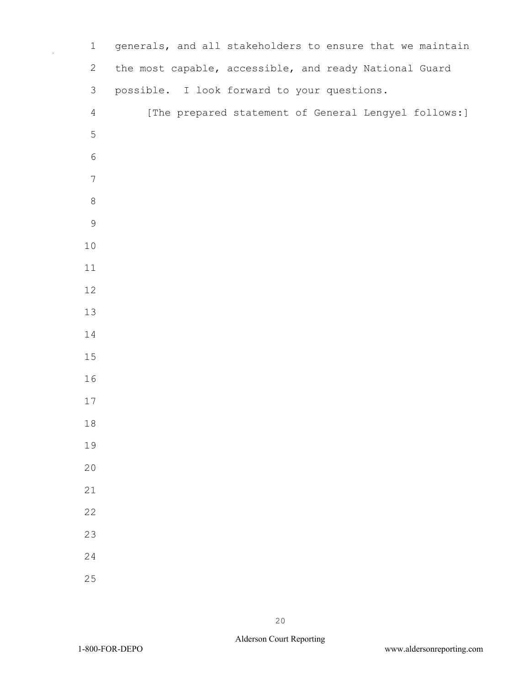| $1\,$            | generals, and all stakeholders to ensure that we maintain |
|------------------|-----------------------------------------------------------|
| $\mathbf{2}$     | the most capable, accessible, and ready National Guard    |
| 3                | possible. I look forward to your questions.               |
| $\overline{4}$   | [The prepared statement of General Lengyel follows:]      |
| $\mathsf S$      |                                                           |
| $\sqrt{6}$       |                                                           |
| $\boldsymbol{7}$ |                                                           |
| $\,8\,$          |                                                           |
| $\mathsf 9$      |                                                           |
| 10               |                                                           |
| 11               |                                                           |
| 12               |                                                           |
| 13               |                                                           |
| 14               |                                                           |
| 15               |                                                           |
| 16               |                                                           |
| 17               |                                                           |
| $1\,8$           |                                                           |
| 19               |                                                           |
| 20               |                                                           |
| 21               |                                                           |
| 22               |                                                           |
| 23               |                                                           |
| 24               |                                                           |
| 25               |                                                           |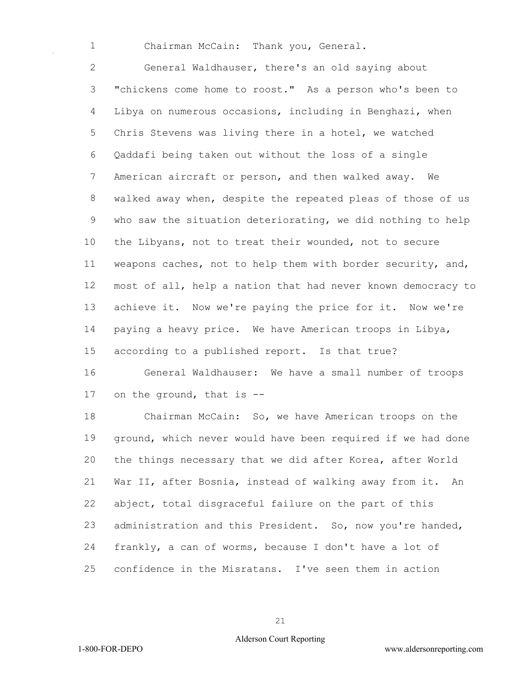Chairman McCain: Thank you, General.

 General Waldhauser, there's an old saying about "chickens come home to roost." As a person who's been to Libya on numerous occasions, including in Benghazi, when Chris Stevens was living there in a hotel, we watched Qaddafi being taken out without the loss of a single American aircraft or person, and then walked away. We walked away when, despite the repeated pleas of those of us who saw the situation deteriorating, we did nothing to help the Libyans, not to treat their wounded, not to secure weapons caches, not to help them with border security, and, most of all, help a nation that had never known democracy to achieve it. Now we're paying the price for it. Now we're paying a heavy price. We have American troops in Libya, according to a published report. Is that true?

 General Waldhauser: We have a small number of troops on the ground, that is --

 Chairman McCain: So, we have American troops on the ground, which never would have been required if we had done the things necessary that we did after Korea, after World War II, after Bosnia, instead of walking away from it. An abject, total disgraceful failure on the part of this administration and this President. So, now you're handed, frankly, a can of worms, because I don't have a lot of confidence in the Misratans. I've seen them in action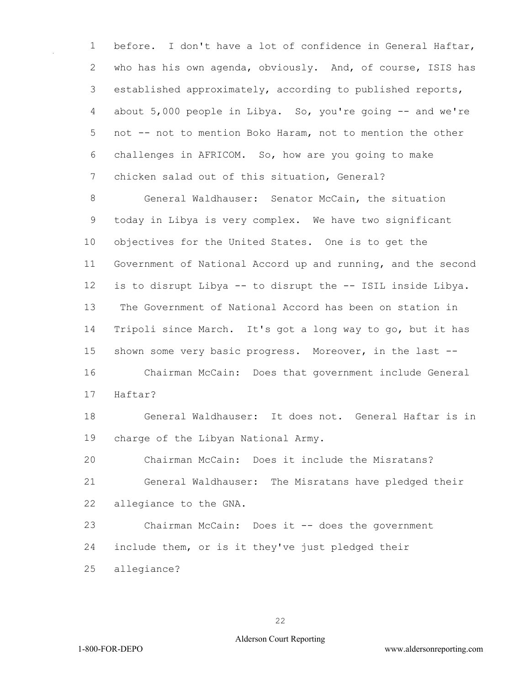before. I don't have a lot of confidence in General Haftar, who has his own agenda, obviously. And, of course, ISIS has established approximately, according to published reports, about 5,000 people in Libya. So, you're going -- and we're not -- not to mention Boko Haram, not to mention the other challenges in AFRICOM. So, how are you going to make chicken salad out of this situation, General?

 General Waldhauser: Senator McCain, the situation today in Libya is very complex. We have two significant objectives for the United States. One is to get the Government of National Accord up and running, and the second is to disrupt Libya -- to disrupt the -- ISIL inside Libya. The Government of National Accord has been on station in Tripoli since March. It's got a long way to go, but it has shown some very basic progress. Moreover, in the last -- Chairman McCain: Does that government include General

Haftar?

 General Waldhauser: It does not. General Haftar is in charge of the Libyan National Army.

 Chairman McCain: Does it include the Misratans? General Waldhauser: The Misratans have pledged their allegiance to the GNA.

 Chairman McCain: Does it -- does the government include them, or is it they've just pledged their

allegiance?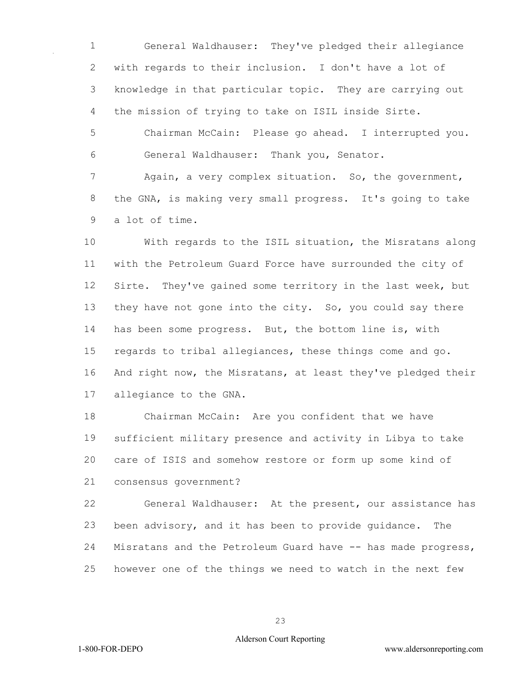General Waldhauser: They've pledged their allegiance with regards to their inclusion. I don't have a lot of knowledge in that particular topic. They are carrying out the mission of trying to take on ISIL inside Sirte.

 Chairman McCain: Please go ahead. I interrupted you. General Waldhauser: Thank you, Senator.

 Again, a very complex situation. So, the government, the GNA, is making very small progress. It's going to take a lot of time.

 With regards to the ISIL situation, the Misratans along with the Petroleum Guard Force have surrounded the city of Sirte. They've gained some territory in the last week, but they have not gone into the city. So, you could say there has been some progress. But, the bottom line is, with regards to tribal allegiances, these things come and go. And right now, the Misratans, at least they've pledged their allegiance to the GNA.

 Chairman McCain: Are you confident that we have sufficient military presence and activity in Libya to take care of ISIS and somehow restore or form up some kind of consensus government?

 General Waldhauser: At the present, our assistance has been advisory, and it has been to provide guidance. The Misratans and the Petroleum Guard have -- has made progress, however one of the things we need to watch in the next few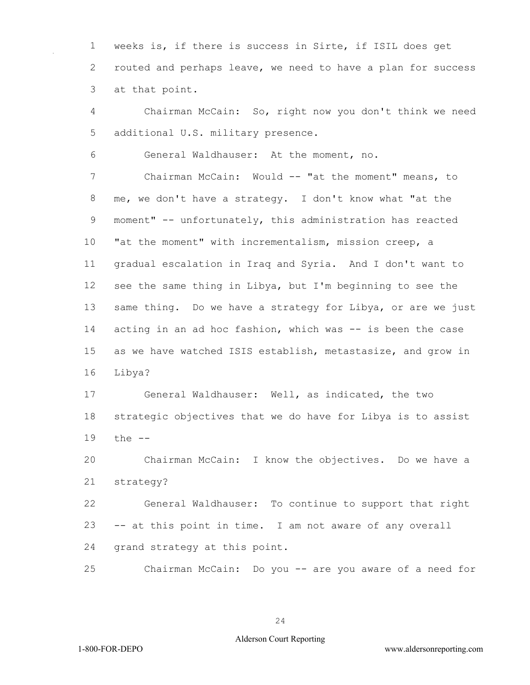weeks is, if there is success in Sirte, if ISIL does get routed and perhaps leave, we need to have a plan for success at that point.

 Chairman McCain: So, right now you don't think we need additional U.S. military presence.

General Waldhauser: At the moment, no.

 Chairman McCain: Would -- "at the moment" means, to me, we don't have a strategy. I don't know what "at the moment" -- unfortunately, this administration has reacted "at the moment" with incrementalism, mission creep, a gradual escalation in Iraq and Syria. And I don't want to see the same thing in Libya, but I'm beginning to see the same thing. Do we have a strategy for Libya, or are we just 14 acting in an ad hoc fashion, which was -- is been the case as we have watched ISIS establish, metastasize, and grow in Libya?

 General Waldhauser: Well, as indicated, the two strategic objectives that we do have for Libya is to assist the --

 Chairman McCain: I know the objectives. Do we have a strategy?

 General Waldhauser: To continue to support that right -- at this point in time. I am not aware of any overall grand strategy at this point.

Chairman McCain: Do you -- are you aware of a need for

1-800-FOR-DEPO www.aldersonreporting.com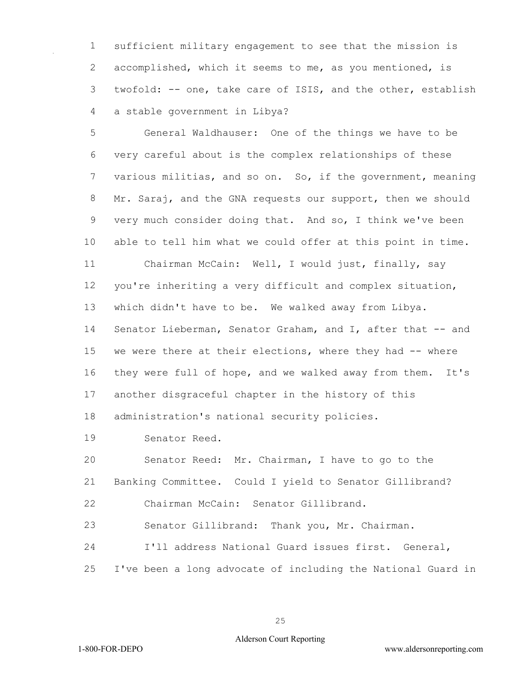sufficient military engagement to see that the mission is accomplished, which it seems to me, as you mentioned, is twofold: -- one, take care of ISIS, and the other, establish a stable government in Libya?

 General Waldhauser: One of the things we have to be very careful about is the complex relationships of these various militias, and so on. So, if the government, meaning 8 Mr. Saraj, and the GNA requests our support, then we should very much consider doing that. And so, I think we've been able to tell him what we could offer at this point in time. Chairman McCain: Well, I would just, finally, say you're inheriting a very difficult and complex situation, which didn't have to be. We walked away from Libya. Senator Lieberman, Senator Graham, and I, after that -- and we were there at their elections, where they had -- where they were full of hope, and we walked away from them. It's another disgraceful chapter in the history of this administration's national security policies.

Senator Reed.

 Senator Reed: Mr. Chairman, I have to go to the Banking Committee. Could I yield to Senator Gillibrand? Chairman McCain: Senator Gillibrand.

Senator Gillibrand: Thank you, Mr. Chairman.

I'll address National Guard issues first. General,

I've been a long advocate of including the National Guard in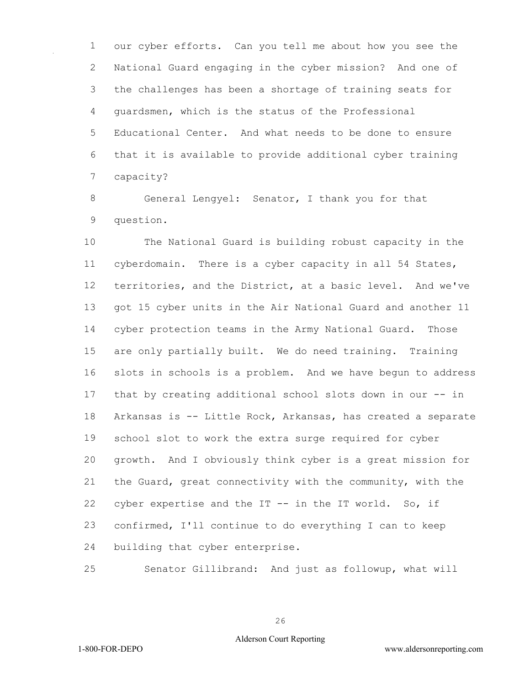our cyber efforts. Can you tell me about how you see the National Guard engaging in the cyber mission? And one of the challenges has been a shortage of training seats for guardsmen, which is the status of the Professional Educational Center. And what needs to be done to ensure that it is available to provide additional cyber training capacity?

 General Lengyel: Senator, I thank you for that question.

 The National Guard is building robust capacity in the cyberdomain. There is a cyber capacity in all 54 States, territories, and the District, at a basic level. And we've got 15 cyber units in the Air National Guard and another 11 cyber protection teams in the Army National Guard. Those are only partially built. We do need training. Training slots in schools is a problem. And we have begun to address that by creating additional school slots down in our -- in Arkansas is -- Little Rock, Arkansas, has created a separate school slot to work the extra surge required for cyber growth. And I obviously think cyber is a great mission for the Guard, great connectivity with the community, with the 22 cyber expertise and the IT -- in the IT world. So, if confirmed, I'll continue to do everything I can to keep building that cyber enterprise.

Senator Gillibrand: And just as followup, what will

1-800-FOR-DEPO www.aldersonreporting.com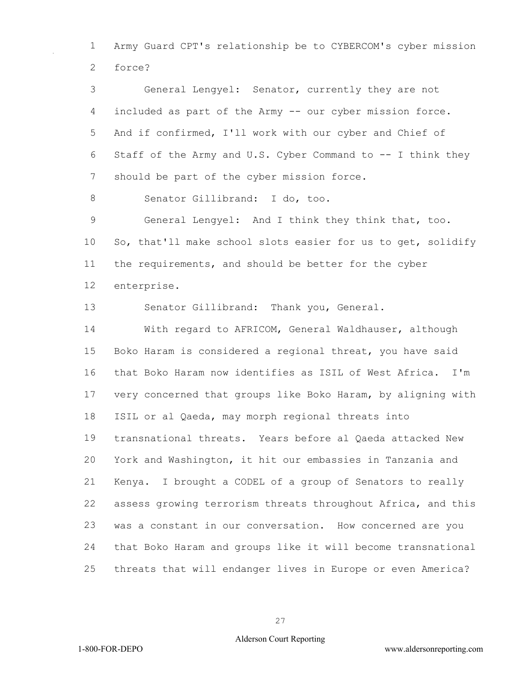Army Guard CPT's relationship be to CYBERCOM's cyber mission force?

 General Lengyel: Senator, currently they are not included as part of the Army -- our cyber mission force. And if confirmed, I'll work with our cyber and Chief of Staff of the Army and U.S. Cyber Command to -- I think they 7 should be part of the cyber mission force.

8 Senator Gillibrand: I do, too.

 General Lengyel: And I think they think that, too. So, that'll make school slots easier for us to get, solidify the requirements, and should be better for the cyber enterprise.

Senator Gillibrand: Thank you, General.

 With regard to AFRICOM, General Waldhauser, although Boko Haram is considered a regional threat, you have said that Boko Haram now identifies as ISIL of West Africa. I'm very concerned that groups like Boko Haram, by aligning with ISIL or al Qaeda, may morph regional threats into transnational threats. Years before al Qaeda attacked New York and Washington, it hit our embassies in Tanzania and Kenya. I brought a CODEL of a group of Senators to really assess growing terrorism threats throughout Africa, and this was a constant in our conversation. How concerned are you that Boko Haram and groups like it will become transnational threats that will endanger lives in Europe or even America?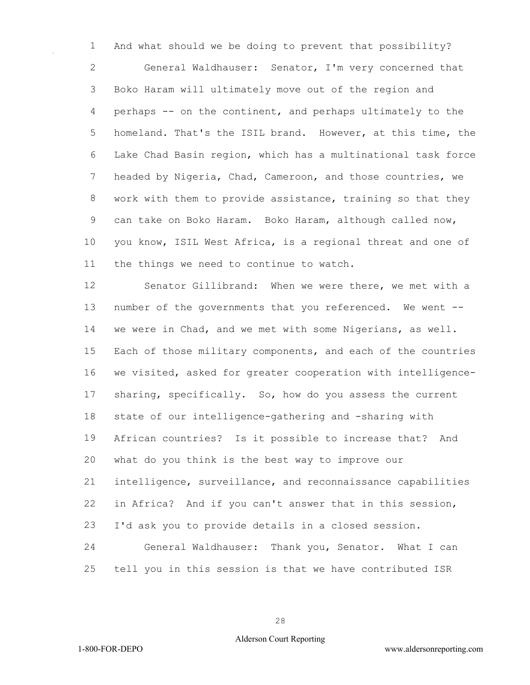And what should we be doing to prevent that possibility? General Waldhauser: Senator, I'm very concerned that Boko Haram will ultimately move out of the region and perhaps -- on the continent, and perhaps ultimately to the homeland. That's the ISIL brand. However, at this time, the Lake Chad Basin region, which has a multinational task force headed by Nigeria, Chad, Cameroon, and those countries, we work with them to provide assistance, training so that they can take on Boko Haram. Boko Haram, although called now, you know, ISIL West Africa, is a regional threat and one of the things we need to continue to watch.

 Senator Gillibrand: When we were there, we met with a number of the governments that you referenced. We went -- we were in Chad, and we met with some Nigerians, as well. Each of those military components, and each of the countries we visited, asked for greater cooperation with intelligence- sharing, specifically. So, how do you assess the current state of our intelligence-gathering and -sharing with African countries? Is it possible to increase that? And what do you think is the best way to improve our intelligence, surveillance, and reconnaissance capabilities in Africa? And if you can't answer that in this session, I'd ask you to provide details in a closed session. General Waldhauser: Thank you, Senator. What I can

tell you in this session is that we have contributed ISR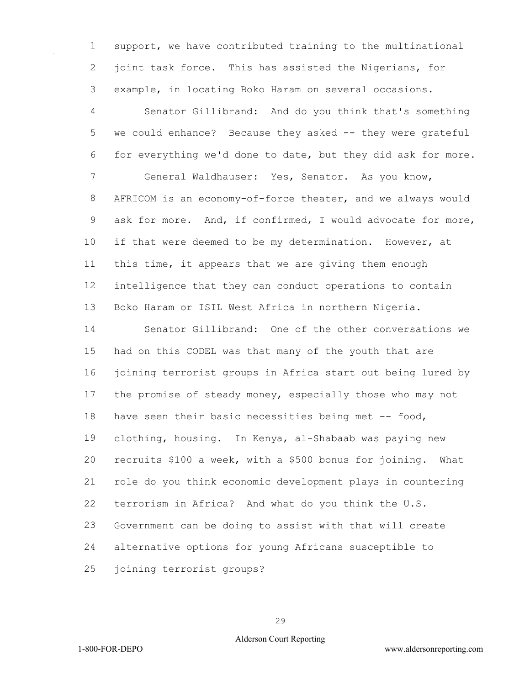support, we have contributed training to the multinational joint task force. This has assisted the Nigerians, for example, in locating Boko Haram on several occasions.

 Senator Gillibrand: And do you think that's something we could enhance? Because they asked -- they were grateful for everything we'd done to date, but they did ask for more. General Waldhauser: Yes, Senator. As you know, AFRICOM is an economy-of-force theater, and we always would ask for more. And, if confirmed, I would advocate for more, if that were deemed to be my determination. However, at this time, it appears that we are giving them enough intelligence that they can conduct operations to contain Boko Haram or ISIL West Africa in northern Nigeria.

 Senator Gillibrand: One of the other conversations we had on this CODEL was that many of the youth that are joining terrorist groups in Africa start out being lured by the promise of steady money, especially those who may not 18 have seen their basic necessities being met -- food, clothing, housing. In Kenya, al-Shabaab was paying new recruits \$100 a week, with a \$500 bonus for joining. What role do you think economic development plays in countering terrorism in Africa? And what do you think the U.S. Government can be doing to assist with that will create alternative options for young Africans susceptible to joining terrorist groups?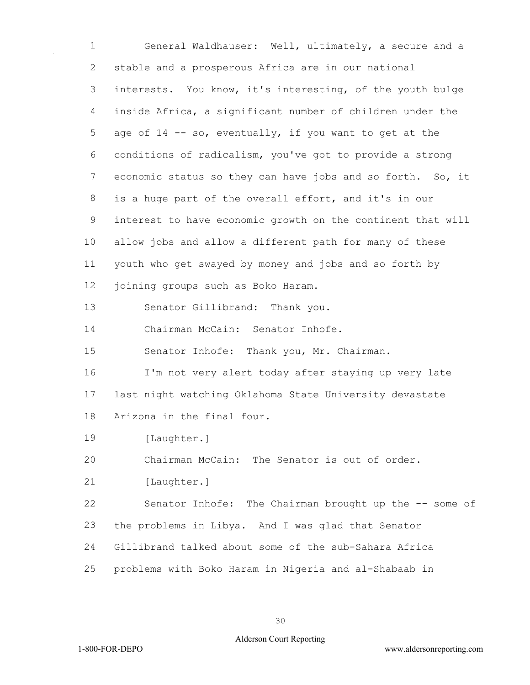General Waldhauser: Well, ultimately, a secure and a stable and a prosperous Africa are in our national interests. You know, it's interesting, of the youth bulge inside Africa, a significant number of children under the 5 age of -- so, eventually, if you want to get at the conditions of radicalism, you've got to provide a strong economic status so they can have jobs and so forth. So, it is a huge part of the overall effort, and it's in our interest to have economic growth on the continent that will allow jobs and allow a different path for many of these youth who get swayed by money and jobs and so forth by joining groups such as Boko Haram. Senator Gillibrand: Thank you. Chairman McCain: Senator Inhofe. Senator Inhofe: Thank you, Mr. Chairman. I'm not very alert today after staying up very late last night watching Oklahoma State University devastate Arizona in the final four. 19 [Laughter.] Chairman McCain: The Senator is out of order. 21 [Laughter.] Senator Inhofe: The Chairman brought up the -- some of the problems in Libya. And I was glad that Senator Gillibrand talked about some of the sub-Sahara Africa problems with Boko Haram in Nigeria and al-Shabaab in

## Alderson Court Reporting

1-800-FOR-DEPO www.aldersonreporting.com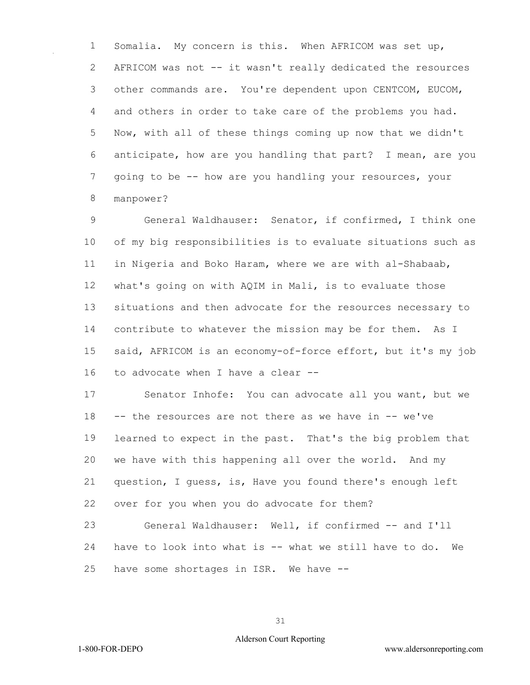Somalia. My concern is this. When AFRICOM was set up, AFRICOM was not -- it wasn't really dedicated the resources other commands are. You're dependent upon CENTCOM, EUCOM, and others in order to take care of the problems you had. Now, with all of these things coming up now that we didn't anticipate, how are you handling that part? I mean, are you going to be -- how are you handling your resources, your manpower?

 General Waldhauser: Senator, if confirmed, I think one of my big responsibilities is to evaluate situations such as in Nigeria and Boko Haram, where we are with al-Shabaab, what's going on with AQIM in Mali, is to evaluate those situations and then advocate for the resources necessary to contribute to whatever the mission may be for them. As I said, AFRICOM is an economy-of-force effort, but it's my job to advocate when I have a clear --

 Senator Inhofe: You can advocate all you want, but we -- the resources are not there as we have in -- we've learned to expect in the past. That's the big problem that we have with this happening all over the world. And my question, I guess, is, Have you found there's enough left over for you when you do advocate for them? General Waldhauser: Well, if confirmed -- and I'll

 have to look into what is -- what we still have to do. We have some shortages in ISR. We have --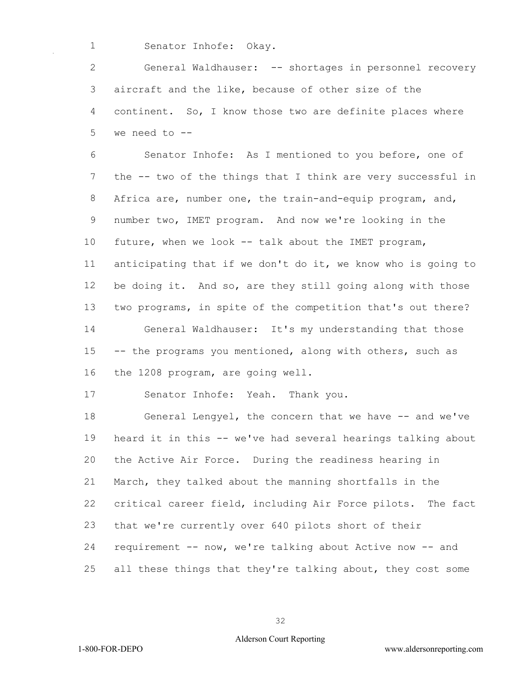Senator Inhofe: Okay.

 General Waldhauser: -- shortages in personnel recovery aircraft and the like, because of other size of the continent. So, I know those two are definite places where we need to --

 Senator Inhofe: As I mentioned to you before, one of the -- two of the things that I think are very successful in Africa are, number one, the train-and-equip program, and, number two, IMET program. And now we're looking in the future, when we look -- talk about the IMET program, anticipating that if we don't do it, we know who is going to be doing it. And so, are they still going along with those two programs, in spite of the competition that's out there? General Waldhauser: It's my understanding that those -- the programs you mentioned, along with others, such as the 1208 program, are going well.

Senator Inhofe: Yeah. Thank you.

18 General Lengyel, the concern that we have -- and we've heard it in this -- we've had several hearings talking about the Active Air Force. During the readiness hearing in March, they talked about the manning shortfalls in the critical career field, including Air Force pilots. The fact that we're currently over 640 pilots short of their requirement -- now, we're talking about Active now -- and all these things that they're talking about, they cost some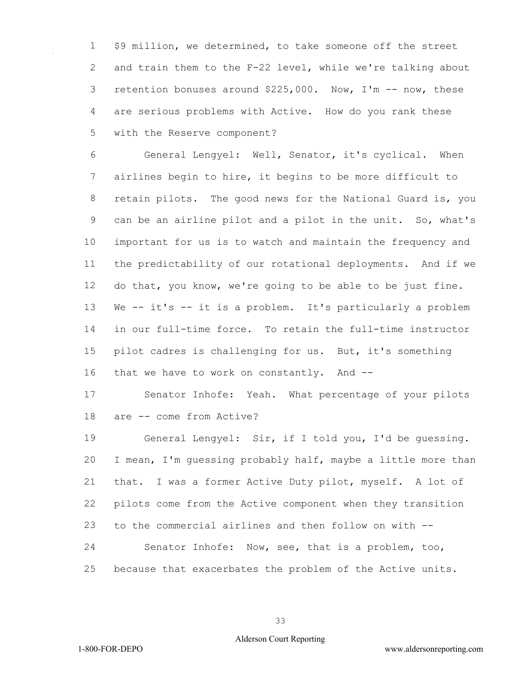\$9 million, we determined, to take someone off the street and train them to the F-22 level, while we're talking about retention bonuses around \$225,000. Now, I'm -- now, these are serious problems with Active. How do you rank these with the Reserve component?

 General Lengyel: Well, Senator, it's cyclical. When airlines begin to hire, it begins to be more difficult to retain pilots. The good news for the National Guard is, you can be an airline pilot and a pilot in the unit. So, what's important for us is to watch and maintain the frequency and the predictability of our rotational deployments. And if we do that, you know, we're going to be able to be just fine. We -- it's -- it is a problem. It's particularly a problem in our full-time force. To retain the full-time instructor pilot cadres is challenging for us. But, it's something that we have to work on constantly. And --

 Senator Inhofe: Yeah. What percentage of your pilots are -- come from Active?

 General Lengyel: Sir, if I told you, I'd be guessing. I mean, I'm guessing probably half, maybe a little more than that. I was a former Active Duty pilot, myself. A lot of pilots come from the Active component when they transition to the commercial airlines and then follow on with -- Senator Inhofe: Now, see, that is a problem, too, because that exacerbates the problem of the Active units.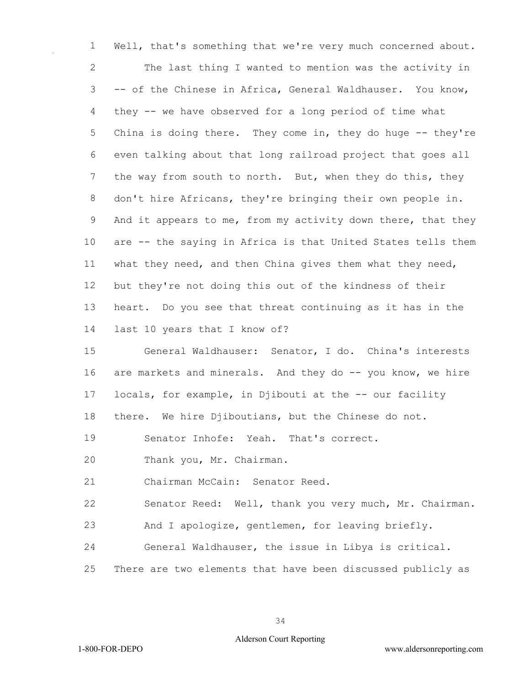Well, that's something that we're very much concerned about. The last thing I wanted to mention was the activity in -- of the Chinese in Africa, General Waldhauser. You know, they -- we have observed for a long period of time what 5 China is doing there. They come in, they do huge -- they're even talking about that long railroad project that goes all the way from south to north. But, when they do this, they don't hire Africans, they're bringing their own people in. And it appears to me, from my activity down there, that they are -- the saying in Africa is that United States tells them what they need, and then China gives them what they need, but they're not doing this out of the kindness of their heart. Do you see that threat continuing as it has in the last 10 years that I know of? General Waldhauser: Senator, I do. China's interests 16 are markets and minerals. And they do -- you know, we hire 17 locals, for example, in Djibouti at the -- our facility there. We hire Djiboutians, but the Chinese do not.

Senator Inhofe: Yeah. That's correct.

Thank you, Mr. Chairman.

Chairman McCain: Senator Reed.

Senator Reed: Well, thank you very much, Mr. Chairman.

And I apologize, gentlemen, for leaving briefly.

General Waldhauser, the issue in Libya is critical.

There are two elements that have been discussed publicly as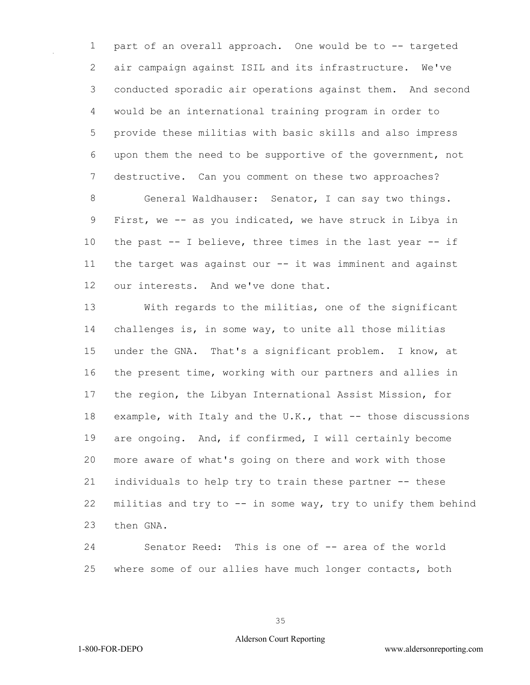part of an overall approach. One would be to -- targeted air campaign against ISIL and its infrastructure. We've conducted sporadic air operations against them. And second would be an international training program in order to provide these militias with basic skills and also impress upon them the need to be supportive of the government, not destructive. Can you comment on these two approaches? General Waldhauser: Senator, I can say two things. First, we -- as you indicated, we have struck in Libya in the past -- I believe, three times in the last year -- if the target was against our -- it was imminent and against

our interests. And we've done that.

 With regards to the militias, one of the significant challenges is, in some way, to unite all those militias under the GNA. That's a significant problem. I know, at the present time, working with our partners and allies in the region, the Libyan International Assist Mission, for 18 example, with Italy and the U.K., that -- those discussions are ongoing. And, if confirmed, I will certainly become more aware of what's going on there and work with those individuals to help try to train these partner -- these militias and try to -- in some way, try to unify them behind then GNA.

 Senator Reed: This is one of -- area of the world where some of our allies have much longer contacts, both

1-800-FOR-DEPO www.aldersonreporting.com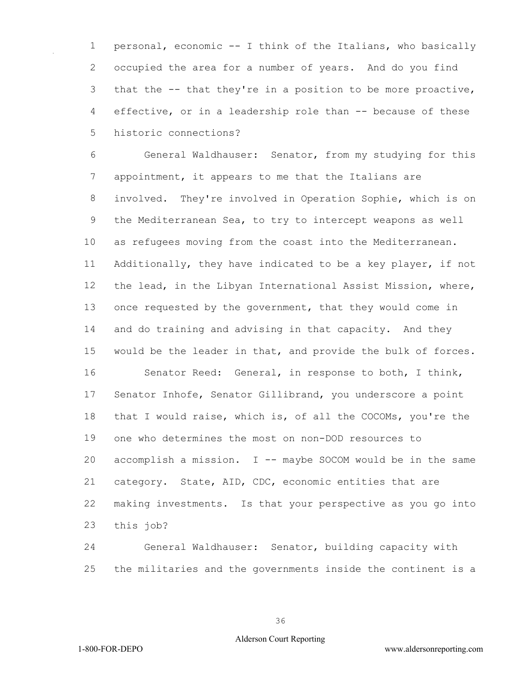personal, economic -- I think of the Italians, who basically occupied the area for a number of years. And do you find that the -- that they're in a position to be more proactive, effective, or in a leadership role than -- because of these historic connections?

 General Waldhauser: Senator, from my studying for this appointment, it appears to me that the Italians are involved. They're involved in Operation Sophie, which is on the Mediterranean Sea, to try to intercept weapons as well as refugees moving from the coast into the Mediterranean. Additionally, they have indicated to be a key player, if not the lead, in the Libyan International Assist Mission, where, once requested by the government, that they would come in and do training and advising in that capacity. And they would be the leader in that, and provide the bulk of forces. Senator Reed: General, in response to both, I think, Senator Inhofe, Senator Gillibrand, you underscore a point that I would raise, which is, of all the COCOMs, you're the one who determines the most on non-DOD resources to accomplish a mission. I -- maybe SOCOM would be in the same category. State, AID, CDC, economic entities that are making investments. Is that your perspective as you go into this job?

 General Waldhauser: Senator, building capacity with the militaries and the governments inside the continent is a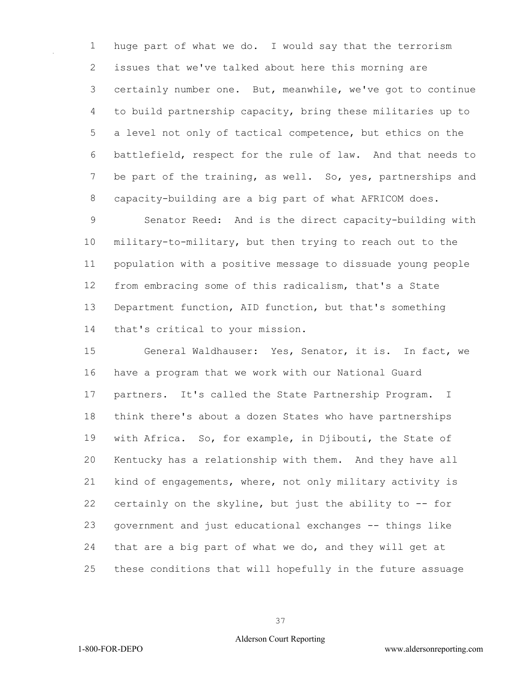huge part of what we do. I would say that the terrorism issues that we've talked about here this morning are certainly number one. But, meanwhile, we've got to continue to build partnership capacity, bring these militaries up to a level not only of tactical competence, but ethics on the battlefield, respect for the rule of law. And that needs to 7 be part of the training, as well. So, yes, partnerships and capacity-building are a big part of what AFRICOM does.

 Senator Reed: And is the direct capacity-building with military-to-military, but then trying to reach out to the population with a positive message to dissuade young people from embracing some of this radicalism, that's a State Department function, AID function, but that's something that's critical to your mission.

 General Waldhauser: Yes, Senator, it is. In fact, we have a program that we work with our National Guard partners. It's called the State Partnership Program. I think there's about a dozen States who have partnerships with Africa. So, for example, in Djibouti, the State of Kentucky has a relationship with them. And they have all kind of engagements, where, not only military activity is certainly on the skyline, but just the ability to -- for government and just educational exchanges -- things like that are a big part of what we do, and they will get at these conditions that will hopefully in the future assuage

## Alderson Court Reporting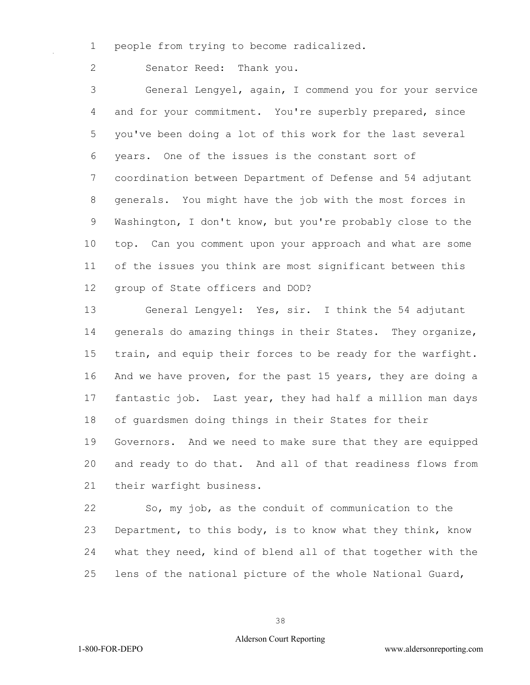1 people from trying to become radicalized.

2 Senator Reed: Thank you.

3 General Lengyel, again, I commend you for your service 4 and for your commitment. You're superbly prepared, since 5 you've been doing a lot of this work for the last several 6 years. One of the issues is the constant sort of 7 coordination between Department of Defense and 54 adjutant 8 generals. You might have the job with the most forces in 9 Washington, I don't know, but you're probably close to the 10 top. Can you comment upon your approach and what are some 11 of the issues you think are most significant between this 12 group of State officers and DOD?

13 General Lengyel: Yes, sir. I think the 54 adjutant 14 generals do amazing things in their States. They organize, 15 train, and equip their forces to be ready for the warfight. 16 And we have proven, for the past 15 years, they are doing a 17 fantastic job. Last year, they had half a million man days 18 of guardsmen doing things in their States for their 19 Governors. And we need to make sure that they are equipped 20 and ready to do that. And all of that readiness flows from 21 their warfight business.

22 So, my job, as the conduit of communication to the 23 Department, to this body, is to know what they think, know 24 what they need, kind of blend all of that together with the 25 lens of the national picture of the whole National Guard,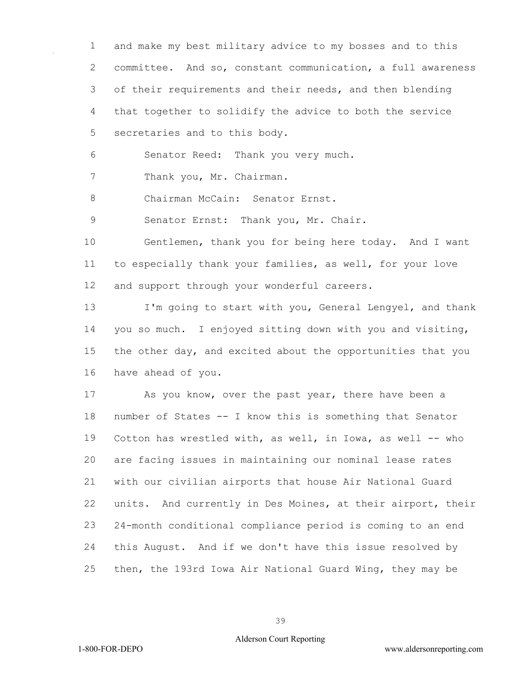and make my best military advice to my bosses and to this committee. And so, constant communication, a full awareness 3 of their requirements and their needs, and then blending that together to solidify the advice to both the service secretaries and to this body.

Senator Reed: Thank you very much.

7 Thank you, Mr. Chairman.

8 Chairman McCain: Senator Ernst.

9 Senator Ernst: Thank you, Mr. Chair.

 Gentlemen, thank you for being here today. And I want to especially thank your families, as well, for your love and support through your wonderful careers.

 I'm going to start with you, General Lengyel, and thank you so much. I enjoyed sitting down with you and visiting, the other day, and excited about the opportunities that you have ahead of you.

 As you know, over the past year, there have been a number of States -- I know this is something that Senator Cotton has wrestled with, as well, in Iowa, as well -- who are facing issues in maintaining our nominal lease rates with our civilian airports that house Air National Guard units. And currently in Des Moines, at their airport, their 24-month conditional compliance period is coming to an end this August. And if we don't have this issue resolved by then, the 193rd Iowa Air National Guard Wing, they may be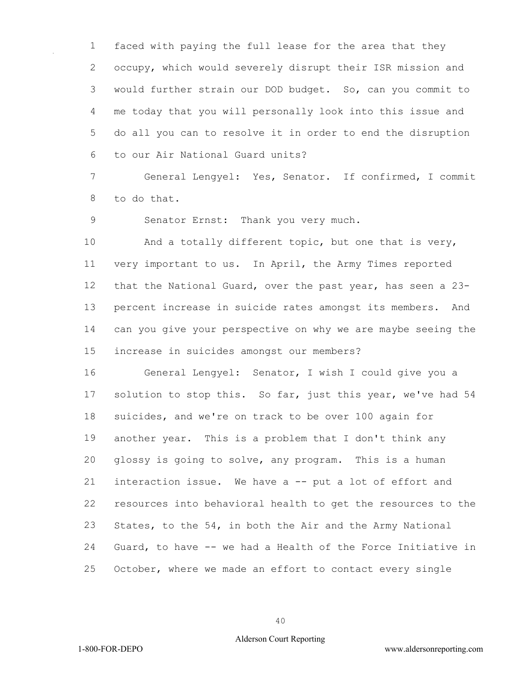faced with paying the full lease for the area that they occupy, which would severely disrupt their ISR mission and would further strain our DOD budget. So, can you commit to me today that you will personally look into this issue and do all you can to resolve it in order to end the disruption to our Air National Guard units?

 General Lengyel: Yes, Senator. If confirmed, I commit to do that.

Senator Ernst: Thank you very much.

10 And a totally different topic, but one that is very, very important to us. In April, the Army Times reported that the National Guard, over the past year, has seen a 23- percent increase in suicide rates amongst its members. And can you give your perspective on why we are maybe seeing the increase in suicides amongst our members?

 General Lengyel: Senator, I wish I could give you a 17 solution to stop this. So far, just this year, we've had 54 suicides, and we're on track to be over 100 again for another year. This is a problem that I don't think any glossy is going to solve, any program. This is a human interaction issue. We have a -- put a lot of effort and resources into behavioral health to get the resources to the States, to the 54, in both the Air and the Army National Guard, to have -- we had a Health of the Force Initiative in October, where we made an effort to contact every single

## Alderson Court Reporting

1-800-FOR-DEPO www.aldersonreporting.com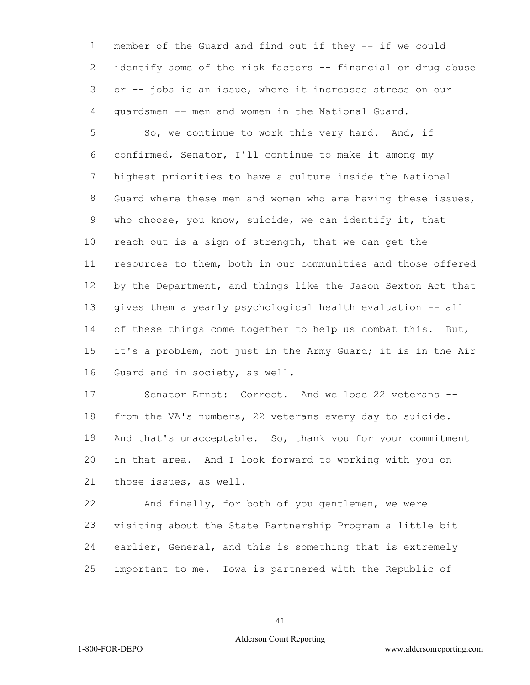member of the Guard and find out if they -- if we could identify some of the risk factors -- financial or drug abuse or -- jobs is an issue, where it increases stress on our guardsmen -- men and women in the National Guard.

5 So, we continue to work this very hard. And, if confirmed, Senator, I'll continue to make it among my highest priorities to have a culture inside the National Guard where these men and women who are having these issues, who choose, you know, suicide, we can identify it, that reach out is a sign of strength, that we can get the resources to them, both in our communities and those offered by the Department, and things like the Jason Sexton Act that gives them a yearly psychological health evaluation -- all 14 of these things come together to help us combat this. But, it's a problem, not just in the Army Guard; it is in the Air Guard and in society, as well.

 Senator Ernst: Correct. And we lose 22 veterans -- from the VA's numbers, 22 veterans every day to suicide. And that's unacceptable. So, thank you for your commitment in that area. And I look forward to working with you on those issues, as well.

 And finally, for both of you gentlemen, we were visiting about the State Partnership Program a little bit earlier, General, and this is something that is extremely important to me. Iowa is partnered with the Republic of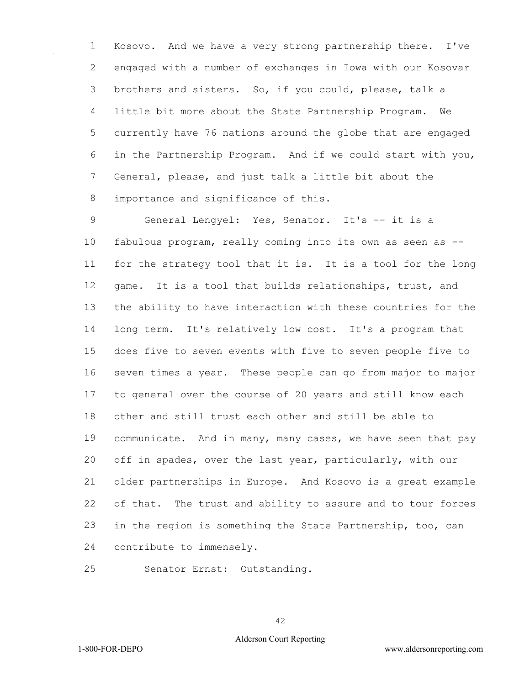Kosovo. And we have a very strong partnership there. I've engaged with a number of exchanges in Iowa with our Kosovar brothers and sisters. So, if you could, please, talk a little bit more about the State Partnership Program. We currently have 76 nations around the globe that are engaged in the Partnership Program. And if we could start with you, General, please, and just talk a little bit about the 8 importance and significance of this.

 General Lengyel: Yes, Senator. It's -- it is a fabulous program, really coming into its own as seen as -- for the strategy tool that it is. It is a tool for the long game. It is a tool that builds relationships, trust, and the ability to have interaction with these countries for the long term. It's relatively low cost. It's a program that does five to seven events with five to seven people five to seven times a year. These people can go from major to major to general over the course of 20 years and still know each other and still trust each other and still be able to communicate. And in many, many cases, we have seen that pay off in spades, over the last year, particularly, with our older partnerships in Europe. And Kosovo is a great example of that. The trust and ability to assure and to tour forces in the region is something the State Partnership, too, can contribute to immensely.

Senator Ernst: Outstanding.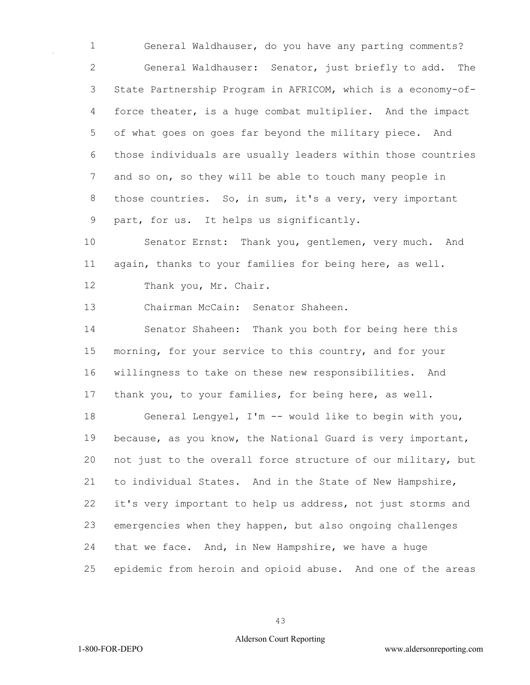General Waldhauser, do you have any parting comments? General Waldhauser: Senator, just briefly to add. The State Partnership Program in AFRICOM, which is a economy-of- force theater, is a huge combat multiplier. And the impact of what goes on goes far beyond the military piece. And those individuals are usually leaders within those countries and so on, so they will be able to touch many people in those countries. So, in sum, it's a very, very important part, for us. It helps us significantly.

 Senator Ernst: Thank you, gentlemen, very much. And again, thanks to your families for being here, as well.

12 Thank you, Mr. Chair.

Chairman McCain: Senator Shaheen.

 Senator Shaheen: Thank you both for being here this morning, for your service to this country, and for your willingness to take on these new responsibilities. And thank you, to your families, for being here, as well.

 General Lengyel, I'm -- would like to begin with you, because, as you know, the National Guard is very important, not just to the overall force structure of our military, but to individual States. And in the State of New Hampshire, it's very important to help us address, not just storms and emergencies when they happen, but also ongoing challenges that we face. And, in New Hampshire, we have a huge epidemic from heroin and opioid abuse. And one of the areas

1-800-FOR-DEPO www.aldersonreporting.com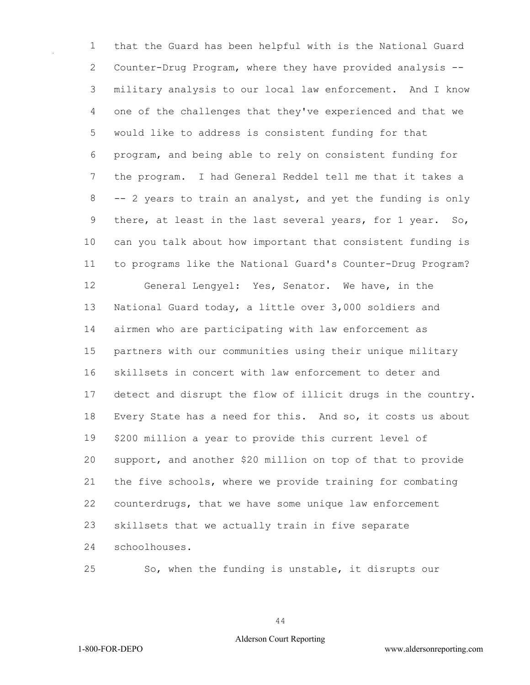that the Guard has been helpful with is the National Guard Counter-Drug Program, where they have provided analysis -- military analysis to our local law enforcement. And I know one of the challenges that they've experienced and that we would like to address is consistent funding for that program, and being able to rely on consistent funding for the program. I had General Reddel tell me that it takes a -- 2 years to train an analyst, and yet the funding is only there, at least in the last several years, for 1 year. So, can you talk about how important that consistent funding is to programs like the National Guard's Counter-Drug Program? General Lengyel: Yes, Senator. We have, in the National Guard today, a little over 3,000 soldiers and airmen who are participating with law enforcement as partners with our communities using their unique military skillsets in concert with law enforcement to deter and detect and disrupt the flow of illicit drugs in the country. Every State has a need for this. And so, it costs us about \$200 million a year to provide this current level of support, and another \$20 million on top of that to provide the five schools, where we provide training for combating counterdrugs, that we have some unique law enforcement skillsets that we actually train in five separate schoolhouses.

So, when the funding is unstable, it disrupts our

## Alderson Court Reporting

1-800-FOR-DEPO www.aldersonreporting.com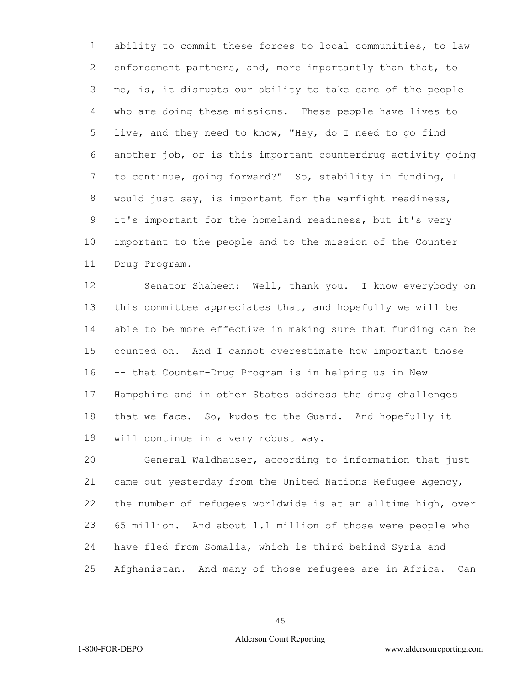ability to commit these forces to local communities, to law enforcement partners, and, more importantly than that, to me, is, it disrupts our ability to take care of the people who are doing these missions. These people have lives to live, and they need to know, "Hey, do I need to go find another job, or is this important counterdrug activity going to continue, going forward?" So, stability in funding, I would just say, is important for the warfight readiness, it's important for the homeland readiness, but it's very important to the people and to the mission of the Counter-Drug Program.

 Senator Shaheen: Well, thank you. I know everybody on this committee appreciates that, and hopefully we will be able to be more effective in making sure that funding can be counted on. And I cannot overestimate how important those -- that Counter-Drug Program is in helping us in New Hampshire and in other States address the drug challenges that we face. So, kudos to the Guard. And hopefully it will continue in a very robust way.

 General Waldhauser, according to information that just came out yesterday from the United Nations Refugee Agency, the number of refugees worldwide is at an alltime high, over 65 million. And about 1.1 million of those were people who have fled from Somalia, which is third behind Syria and Afghanistan. And many of those refugees are in Africa. Can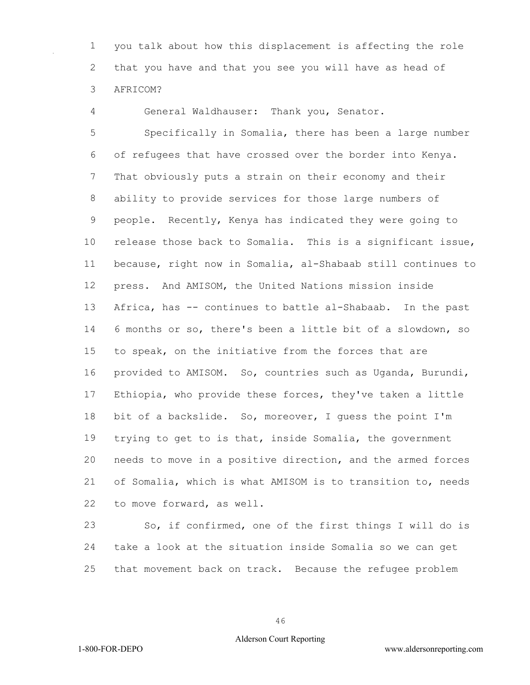you talk about how this displacement is affecting the role that you have and that you see you will have as head of AFRICOM?

General Waldhauser: Thank you, Senator.

 Specifically in Somalia, there has been a large number of refugees that have crossed over the border into Kenya. That obviously puts a strain on their economy and their ability to provide services for those large numbers of people. Recently, Kenya has indicated they were going to release those back to Somalia. This is a significant issue, because, right now in Somalia, al-Shabaab still continues to press. And AMISOM, the United Nations mission inside Africa, has -- continues to battle al-Shabaab. In the past 6 months or so, there's been a little bit of a slowdown, so to speak, on the initiative from the forces that are provided to AMISOM. So, countries such as Uganda, Burundi, Ethiopia, who provide these forces, they've taken a little bit of a backslide. So, moreover, I guess the point I'm trying to get to is that, inside Somalia, the government needs to move in a positive direction, and the armed forces of Somalia, which is what AMISOM is to transition to, needs to move forward, as well.

 So, if confirmed, one of the first things I will do is take a look at the situation inside Somalia so we can get that movement back on track. Because the refugee problem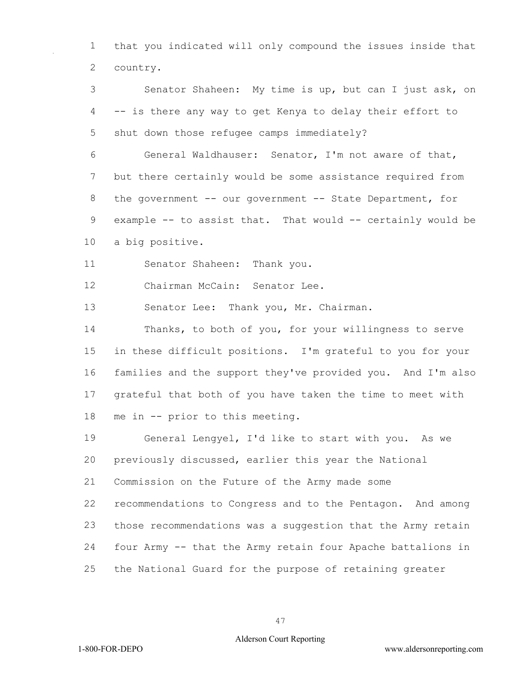that you indicated will only compound the issues inside that country.

 Senator Shaheen: My time is up, but can I just ask, on -- is there any way to get Kenya to delay their effort to shut down those refugee camps immediately?

 General Waldhauser: Senator, I'm not aware of that, but there certainly would be some assistance required from 8 the government -- our government -- State Department, for example -- to assist that. That would -- certainly would be a big positive.

Senator Shaheen: Thank you.

Chairman McCain: Senator Lee.

Senator Lee: Thank you, Mr. Chairman.

 Thanks, to both of you, for your willingness to serve in these difficult positions. I'm grateful to you for your families and the support they've provided you. And I'm also grateful that both of you have taken the time to meet with me in -- prior to this meeting.

 General Lengyel, I'd like to start with you. As we previously discussed, earlier this year the National Commission on the Future of the Army made some recommendations to Congress and to the Pentagon. And among those recommendations was a suggestion that the Army retain four Army -- that the Army retain four Apache battalions in

the National Guard for the purpose of retaining greater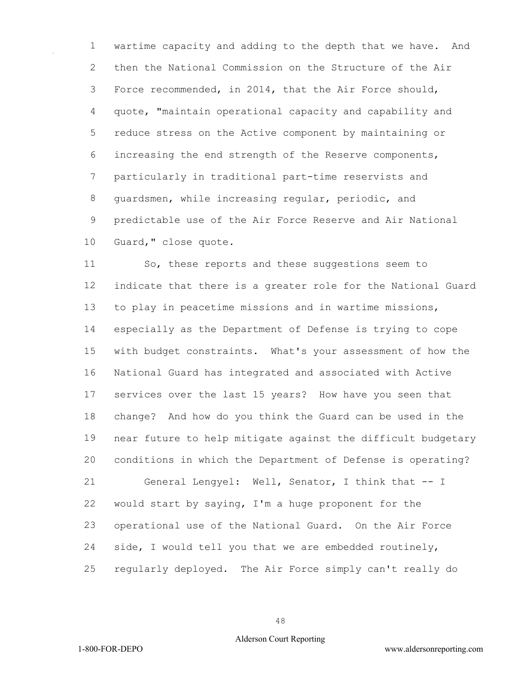wartime capacity and adding to the depth that we have. And then the National Commission on the Structure of the Air Force recommended, in 2014, that the Air Force should, quote, "maintain operational capacity and capability and reduce stress on the Active component by maintaining or increasing the end strength of the Reserve components, particularly in traditional part-time reservists and guardsmen, while increasing regular, periodic, and predictable use of the Air Force Reserve and Air National Guard," close quote.

 So, these reports and these suggestions seem to indicate that there is a greater role for the National Guard to play in peacetime missions and in wartime missions, especially as the Department of Defense is trying to cope with budget constraints. What's your assessment of how the National Guard has integrated and associated with Active services over the last 15 years? How have you seen that change? And how do you think the Guard can be used in the near future to help mitigate against the difficult budgetary conditions in which the Department of Defense is operating? General Lengyel: Well, Senator, I think that -- I would start by saying, I'm a huge proponent for the operational use of the National Guard. On the Air Force side, I would tell you that we are embedded routinely, regularly deployed. The Air Force simply can't really do

1-800-FOR-DEPO www.aldersonreporting.com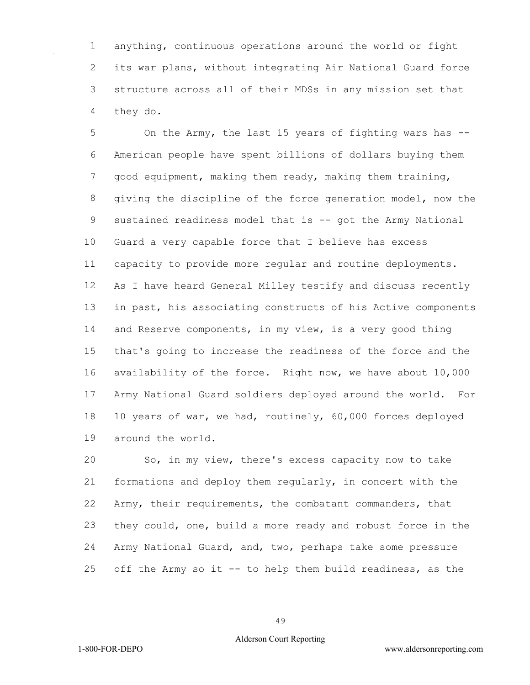anything, continuous operations around the world or fight its war plans, without integrating Air National Guard force structure across all of their MDSs in any mission set that they do.

 On the Army, the last 15 years of fighting wars has -- American people have spent billions of dollars buying them good equipment, making them ready, making them training, giving the discipline of the force generation model, now the 9 sustained readiness model that is -- got the Army National Guard a very capable force that I believe has excess capacity to provide more regular and routine deployments. As I have heard General Milley testify and discuss recently in past, his associating constructs of his Active components and Reserve components, in my view, is a very good thing that's going to increase the readiness of the force and the availability of the force. Right now, we have about 10,000 Army National Guard soldiers deployed around the world. For 10 years of war, we had, routinely, 60,000 forces deployed around the world.

 So, in my view, there's excess capacity now to take formations and deploy them regularly, in concert with the Army, their requirements, the combatant commanders, that they could, one, build a more ready and robust force in the Army National Guard, and, two, perhaps take some pressure off the Army so it -- to help them build readiness, as the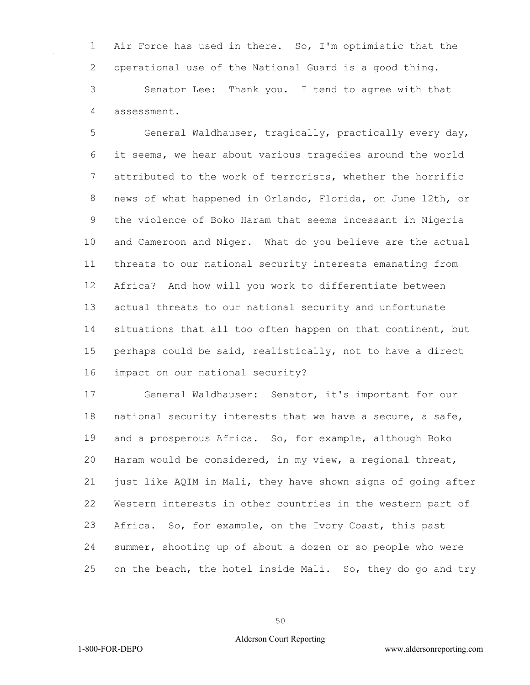Air Force has used in there. So, I'm optimistic that the operational use of the National Guard is a good thing.

 Senator Lee: Thank you. I tend to agree with that assessment.

 General Waldhauser, tragically, practically every day, it seems, we hear about various tragedies around the world attributed to the work of terrorists, whether the horrific news of what happened in Orlando, Florida, on June 12th, or the violence of Boko Haram that seems incessant in Nigeria and Cameroon and Niger. What do you believe are the actual threats to our national security interests emanating from Africa? And how will you work to differentiate between actual threats to our national security and unfortunate 14 situations that all too often happen on that continent, but perhaps could be said, realistically, not to have a direct impact on our national security?

 General Waldhauser: Senator, it's important for our national security interests that we have a secure, a safe, and a prosperous Africa. So, for example, although Boko Haram would be considered, in my view, a regional threat, just like AQIM in Mali, they have shown signs of going after Western interests in other countries in the western part of Africa. So, for example, on the Ivory Coast, this past summer, shooting up of about a dozen or so people who were on the beach, the hotel inside Mali. So, they do go and try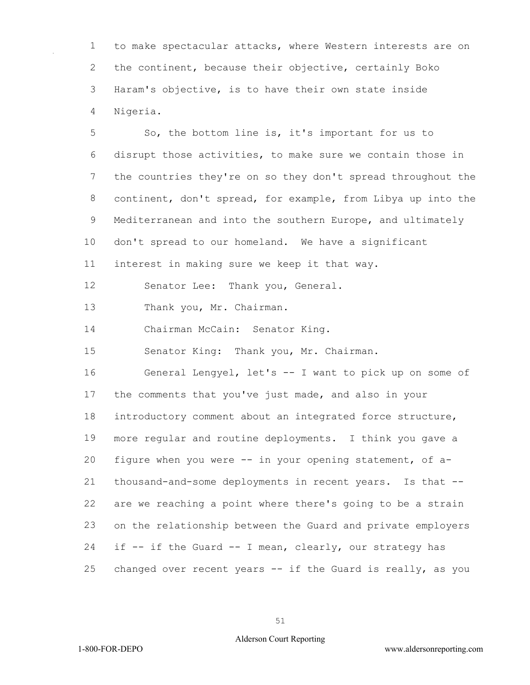to make spectacular attacks, where Western interests are on the continent, because their objective, certainly Boko Haram's objective, is to have their own state inside Nigeria.

 So, the bottom line is, it's important for us to disrupt those activities, to make sure we contain those in the countries they're on so they don't spread throughout the continent, don't spread, for example, from Libya up into the Mediterranean and into the southern Europe, and ultimately don't spread to our homeland. We have a significant interest in making sure we keep it that way. Senator Lee: Thank you, General. Thank you, Mr. Chairman. Chairman McCain: Senator King. Senator King: Thank you, Mr. Chairman. General Lengyel, let's -- I want to pick up on some of the comments that you've just made, and also in your introductory comment about an integrated force structure, more regular and routine deployments. I think you gave a figure when you were -- in your opening statement, of a- thousand-and-some deployments in recent years. Is that -- are we reaching a point where there's going to be a strain on the relationship between the Guard and private employers if -- if the Guard -- I mean, clearly, our strategy has changed over recent years -- if the Guard is really, as you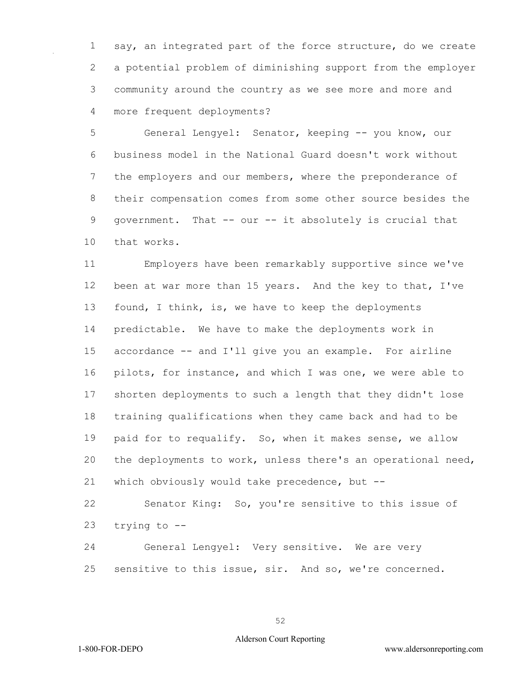say, an integrated part of the force structure, do we create a potential problem of diminishing support from the employer community around the country as we see more and more and more frequent deployments?

 General Lengyel: Senator, keeping -- you know, our business model in the National Guard doesn't work without 7 the employers and our members, where the preponderance of their compensation comes from some other source besides the government. That -- our -- it absolutely is crucial that that works.

 Employers have been remarkably supportive since we've been at war more than 15 years. And the key to that, I've found, I think, is, we have to keep the deployments predictable. We have to make the deployments work in accordance -- and I'll give you an example. For airline pilots, for instance, and which I was one, we were able to shorten deployments to such a length that they didn't lose training qualifications when they came back and had to be paid for to requalify. So, when it makes sense, we allow the deployments to work, unless there's an operational need, which obviously would take precedence, but --

 Senator King: So, you're sensitive to this issue of trying to --

 General Lengyel: Very sensitive. We are very sensitive to this issue, sir. And so, we're concerned.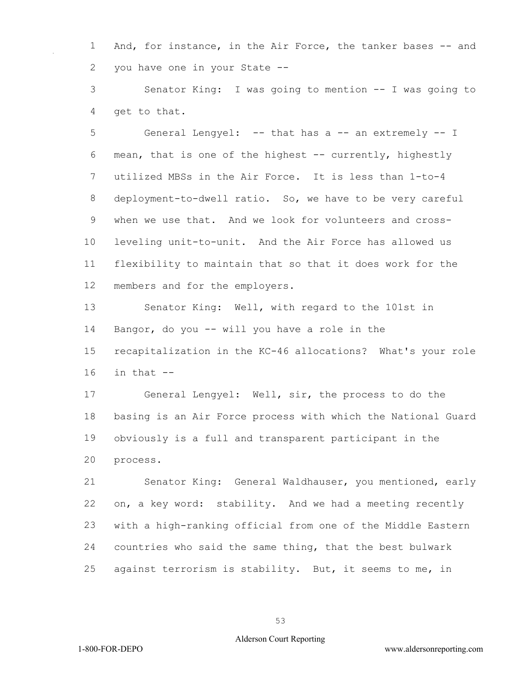1 And, for instance, in the Air Force, the tanker bases -- and you have one in your State --

 Senator King: I was going to mention -- I was going to get to that.

5 General Lengyel: -- that has a -- an extremely -- I mean, that is one of the highest -- currently, highestly utilized MBSs in the Air Force. It is less than 1-to-4 deployment-to-dwell ratio. So, we have to be very careful when we use that. And we look for volunteers and cross- leveling unit-to-unit. And the Air Force has allowed us flexibility to maintain that so that it does work for the members and for the employers.

 Senator King: Well, with regard to the 101st in Bangor, do you -- will you have a role in the recapitalization in the KC-46 allocations? What's your role in that  $-$ 

 General Lengyel: Well, sir, the process to do the basing is an Air Force process with which the National Guard obviously is a full and transparent participant in the process.

 Senator King: General Waldhauser, you mentioned, early on, a key word: stability. And we had a meeting recently with a high-ranking official from one of the Middle Eastern countries who said the same thing, that the best bulwark against terrorism is stability. But, it seems to me, in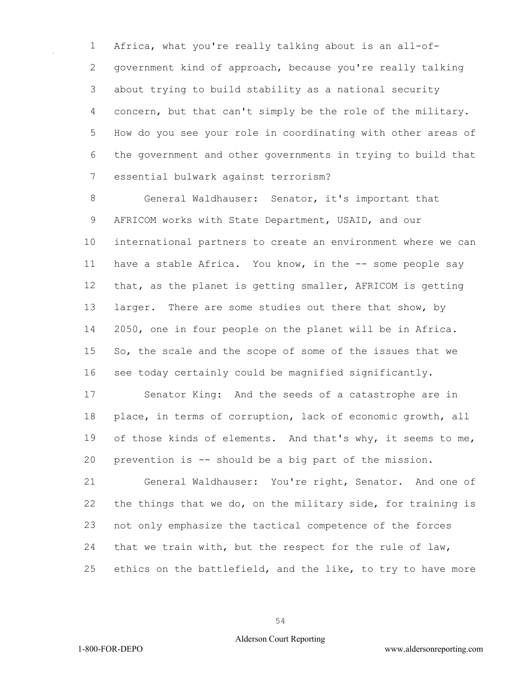Africa, what you're really talking about is an all-of- government kind of approach, because you're really talking about trying to build stability as a national security concern, but that can't simply be the role of the military. How do you see your role in coordinating with other areas of the government and other governments in trying to build that essential bulwark against terrorism?

 General Waldhauser: Senator, it's important that AFRICOM works with State Department, USAID, and our international partners to create an environment where we can have a stable Africa. You know, in the -- some people say that, as the planet is getting smaller, AFRICOM is getting larger. There are some studies out there that show, by 2050, one in four people on the planet will be in Africa. 15 So, the scale and the scope of some of the issues that we see today certainly could be magnified significantly.

 Senator King: And the seeds of a catastrophe are in place, in terms of corruption, lack of economic growth, all 19 of those kinds of elements. And that's why, it seems to me, prevention is -- should be a big part of the mission.

 General Waldhauser: You're right, Senator. And one of the things that we do, on the military side, for training is not only emphasize the tactical competence of the forces that we train with, but the respect for the rule of law, ethics on the battlefield, and the like, to try to have more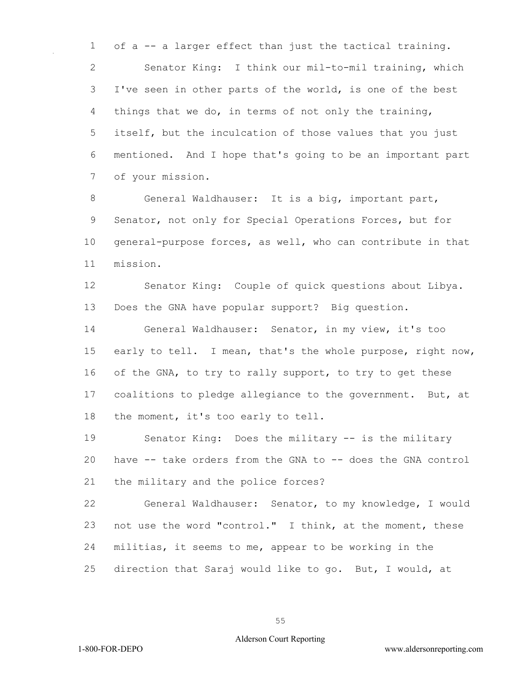of a -- a larger effect than just the tactical training. Senator King: I think our mil-to-mil training, which I've seen in other parts of the world, is one of the best things that we do, in terms of not only the training, itself, but the inculcation of those values that you just mentioned. And I hope that's going to be an important part of your mission.

 General Waldhauser: It is a big, important part, Senator, not only for Special Operations Forces, but for general-purpose forces, as well, who can contribute in that mission.

 Senator King: Couple of quick questions about Libya. Does the GNA have popular support? Big question.

 General Waldhauser: Senator, in my view, it's too early to tell. I mean, that's the whole purpose, right now, 16 of the GNA, to try to rally support, to try to get these coalitions to pledge allegiance to the government. But, at the moment, it's too early to tell.

 Senator King: Does the military -- is the military have -- take orders from the GNA to -- does the GNA control the military and the police forces?

 General Waldhauser: Senator, to my knowledge, I would not use the word "control." I think, at the moment, these militias, it seems to me, appear to be working in the direction that Saraj would like to go. But, I would, at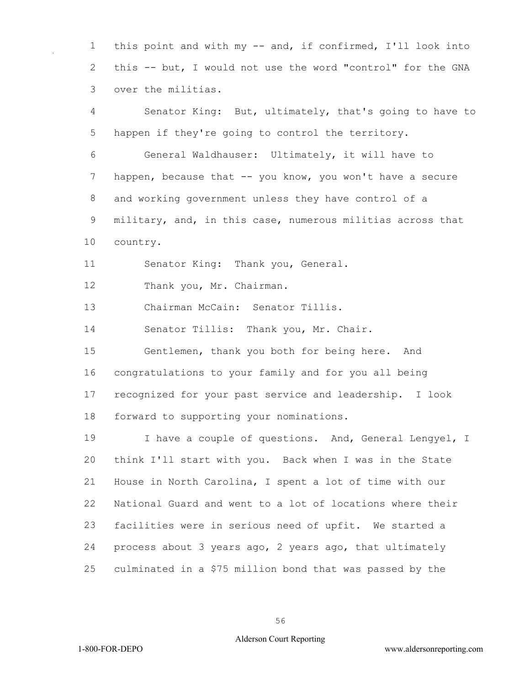this point and with my -- and, if confirmed, I'll look into this -- but, I would not use the word "control" for the GNA over the militias.

 Senator King: But, ultimately, that's going to have to happen if they're going to control the territory. General Waldhauser: Ultimately, it will have to 7 happen, because that -- you know, you won't have a secure and working government unless they have control of a military, and, in this case, numerous militias across that country.

Senator King: Thank you, General.

Thank you, Mr. Chairman.

Chairman McCain: Senator Tillis.

Senator Tillis: Thank you, Mr. Chair.

 Gentlemen, thank you both for being here. And congratulations to your family and for you all being recognized for your past service and leadership. I look forward to supporting your nominations.

19 I have a couple of questions. And, General Lengyel, I think I'll start with you. Back when I was in the State House in North Carolina, I spent a lot of time with our National Guard and went to a lot of locations where their facilities were in serious need of upfit. We started a process about 3 years ago, 2 years ago, that ultimately culminated in a \$75 million bond that was passed by the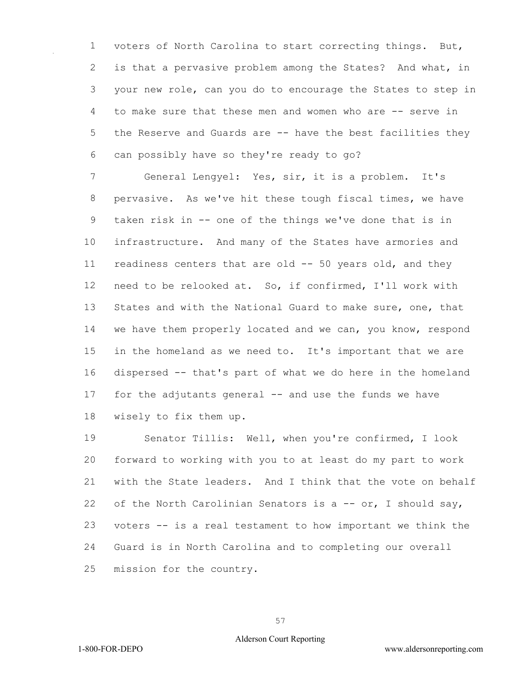voters of North Carolina to start correcting things. But, is that a pervasive problem among the States? And what, in your new role, can you do to encourage the States to step in to make sure that these men and women who are -- serve in the Reserve and Guards are -- have the best facilities they can possibly have so they're ready to go?

 General Lengyel: Yes, sir, it is a problem. It's pervasive. As we've hit these tough fiscal times, we have taken risk in -- one of the things we've done that is in infrastructure. And many of the States have armories and readiness centers that are old -- 50 years old, and they need to be relooked at. So, if confirmed, I'll work with 13 States and with the National Guard to make sure, one, that we have them properly located and we can, you know, respond in the homeland as we need to. It's important that we are dispersed -- that's part of what we do here in the homeland for the adjutants general -- and use the funds we have wisely to fix them up.

 Senator Tillis: Well, when you're confirmed, I look forward to working with you to at least do my part to work with the State leaders. And I think that the vote on behalf of the North Carolinian Senators is a -- or, I should say, voters -- is a real testament to how important we think the Guard is in North Carolina and to completing our overall mission for the country.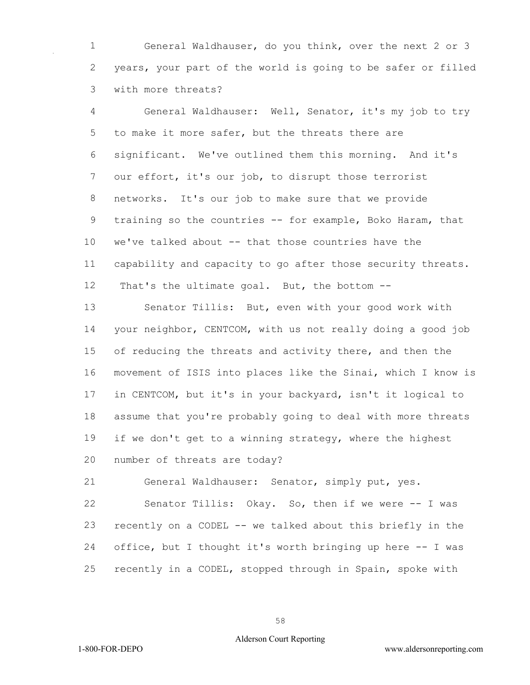General Waldhauser, do you think, over the next 2 or 3 years, your part of the world is going to be safer or filled with more threats?

 General Waldhauser: Well, Senator, it's my job to try to make it more safer, but the threats there are significant. We've outlined them this morning. And it's our effort, it's our job, to disrupt those terrorist networks. It's our job to make sure that we provide 9 training so the countries -- for example, Boko Haram, that we've talked about -- that those countries have the capability and capacity to go after those security threats. That's the ultimate goal. But, the bottom --

 Senator Tillis: But, even with your good work with your neighbor, CENTCOM, with us not really doing a good job 15 of reducing the threats and activity there, and then the movement of ISIS into places like the Sinai, which I know is in CENTCOM, but it's in your backyard, isn't it logical to assume that you're probably going to deal with more threats if we don't get to a winning strategy, where the highest number of threats are today?

 General Waldhauser: Senator, simply put, yes. Senator Tillis: Okay. So, then if we were -- I was recently on a CODEL -- we talked about this briefly in the office, but I thought it's worth bringing up here -- I was recently in a CODEL, stopped through in Spain, spoke with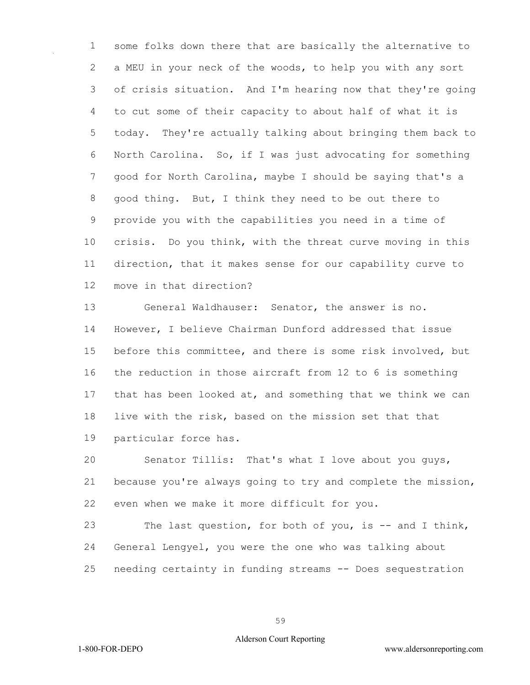some folks down there that are basically the alternative to a MEU in your neck of the woods, to help you with any sort of crisis situation. And I'm hearing now that they're going to cut some of their capacity to about half of what it is today. They're actually talking about bringing them back to North Carolina. So, if I was just advocating for something good for North Carolina, maybe I should be saying that's a good thing. But, I think they need to be out there to provide you with the capabilities you need in a time of crisis. Do you think, with the threat curve moving in this direction, that it makes sense for our capability curve to move in that direction?

 General Waldhauser: Senator, the answer is no. However, I believe Chairman Dunford addressed that issue before this committee, and there is some risk involved, but the reduction in those aircraft from 12 to 6 is something that has been looked at, and something that we think we can live with the risk, based on the mission set that that particular force has.

 Senator Tillis: That's what I love about you guys, because you're always going to try and complete the mission, even when we make it more difficult for you.

 The last question, for both of you, is -- and I think, General Lengyel, you were the one who was talking about needing certainty in funding streams -- Does sequestration

1-800-FOR-DEPO www.aldersonreporting.com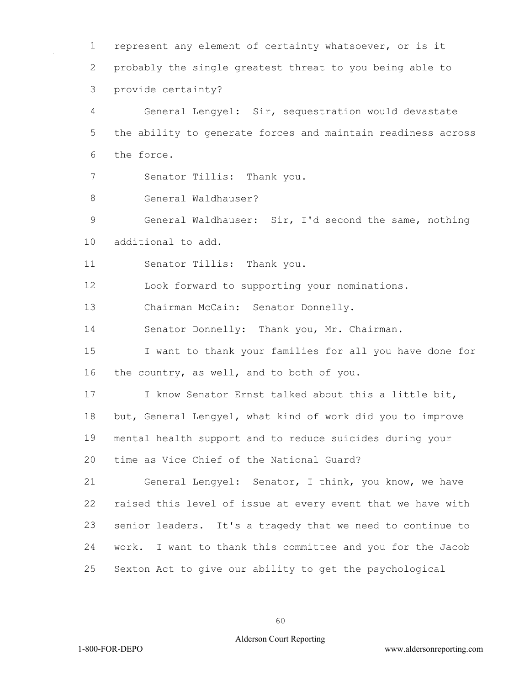represent any element of certainty whatsoever, or is it probably the single greatest threat to you being able to provide certainty?

 General Lengyel: Sir, sequestration would devastate the ability to generate forces and maintain readiness across the force.

Senator Tillis: Thank you.

General Waldhauser?

 General Waldhauser: Sir, I'd second the same, nothing additional to add.

Senator Tillis: Thank you.

Look forward to supporting your nominations.

13 Chairman McCain: Senator Donnelly.

Senator Donnelly: Thank you, Mr. Chairman.

 I want to thank your families for all you have done for the country, as well, and to both of you.

 I know Senator Ernst talked about this a little bit, but, General Lengyel, what kind of work did you to improve mental health support and to reduce suicides during your time as Vice Chief of the National Guard?

 General Lengyel: Senator, I think, you know, we have raised this level of issue at every event that we have with senior leaders. It's a tragedy that we need to continue to work. I want to thank this committee and you for the Jacob Sexton Act to give our ability to get the psychological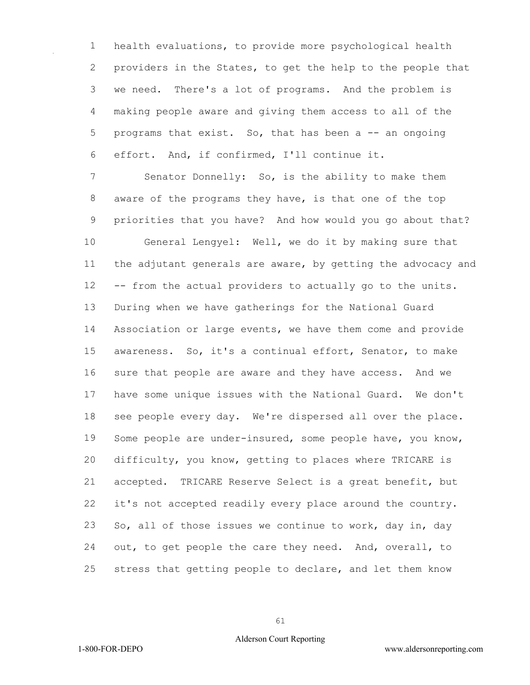health evaluations, to provide more psychological health providers in the States, to get the help to the people that we need. There's a lot of programs. And the problem is making people aware and giving them access to all of the 5 programs that exist. So, that has been a -- an ongoing effort. And, if confirmed, I'll continue it.

 Senator Donnelly: So, is the ability to make them aware of the programs they have, is that one of the top priorities that you have? And how would you go about that? General Lengyel: Well, we do it by making sure that the adjutant generals are aware, by getting the advocacy and -- from the actual providers to actually go to the units. During when we have gatherings for the National Guard Association or large events, we have them come and provide awareness. So, it's a continual effort, Senator, to make sure that people are aware and they have access. And we have some unique issues with the National Guard. We don't see people every day. We're dispersed all over the place. Some people are under-insured, some people have, you know, difficulty, you know, getting to places where TRICARE is accepted. TRICARE Reserve Select is a great benefit, but it's not accepted readily every place around the country. So, all of those issues we continue to work, day in, day out, to get people the care they need. And, overall, to stress that getting people to declare, and let them know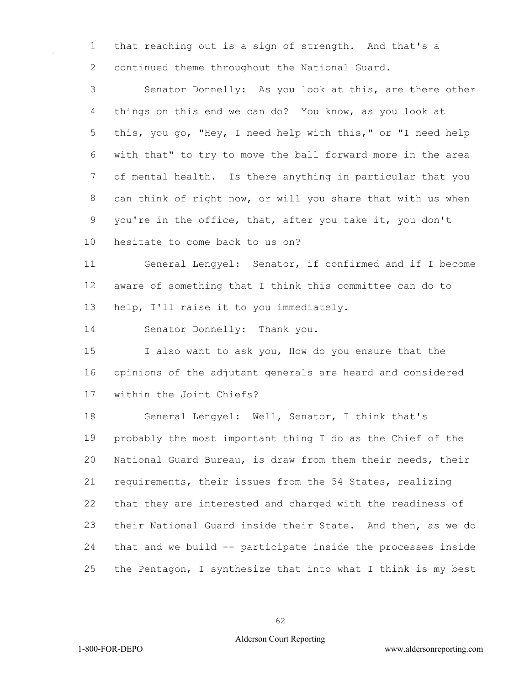that reaching out is a sign of strength. And that's a continued theme throughout the National Guard.

 Senator Donnelly: As you look at this, are there other things on this end we can do? You know, as you look at this, you go, "Hey, I need help with this," or "I need help with that" to try to move the ball forward more in the area of mental health. Is there anything in particular that you can think of right now, or will you share that with us when you're in the office, that, after you take it, you don't

hesitate to come back to us on?

 General Lengyel: Senator, if confirmed and if I become aware of something that I think this committee can do to help, I'll raise it to you immediately.

Senator Donnelly: Thank you.

 I also want to ask you, How do you ensure that the opinions of the adjutant generals are heard and considered within the Joint Chiefs?

 General Lengyel: Well, Senator, I think that's probably the most important thing I do as the Chief of the National Guard Bureau, is draw from them their needs, their requirements, their issues from the 54 States, realizing that they are interested and charged with the readiness of their National Guard inside their State. And then, as we do that and we build -- participate inside the processes inside the Pentagon, I synthesize that into what I think is my best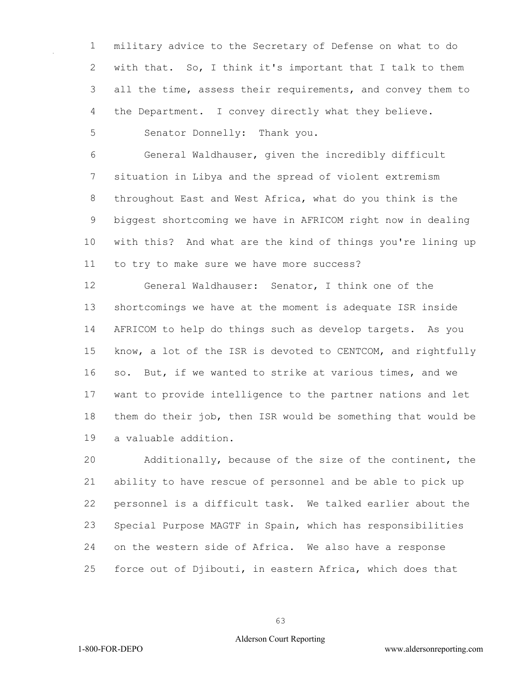military advice to the Secretary of Defense on what to do with that. So, I think it's important that I talk to them all the time, assess their requirements, and convey them to the Department. I convey directly what they believe.

Senator Donnelly: Thank you.

 General Waldhauser, given the incredibly difficult situation in Libya and the spread of violent extremism throughout East and West Africa, what do you think is the biggest shortcoming we have in AFRICOM right now in dealing with this? And what are the kind of things you're lining up to try to make sure we have more success?

 General Waldhauser: Senator, I think one of the shortcomings we have at the moment is adequate ISR inside AFRICOM to help do things such as develop targets. As you know, a lot of the ISR is devoted to CENTCOM, and rightfully so. But, if we wanted to strike at various times, and we want to provide intelligence to the partner nations and let them do their job, then ISR would be something that would be a valuable addition.

 Additionally, because of the size of the continent, the ability to have rescue of personnel and be able to pick up personnel is a difficult task. We talked earlier about the Special Purpose MAGTF in Spain, which has responsibilities on the western side of Africa. We also have a response force out of Djibouti, in eastern Africa, which does that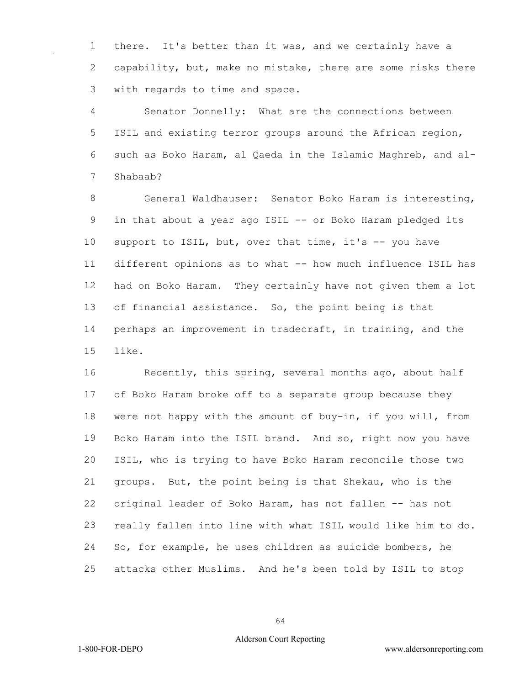there. It's better than it was, and we certainly have a capability, but, make no mistake, there are some risks there with regards to time and space.

 Senator Donnelly: What are the connections between ISIL and existing terror groups around the African region, such as Boko Haram, al Qaeda in the Islamic Maghreb, and al-Shabaab?

 General Waldhauser: Senator Boko Haram is interesting, in that about a year ago ISIL -- or Boko Haram pledged its 10 support to ISIL, but, over that time, it's -- you have different opinions as to what -- how much influence ISIL has had on Boko Haram. They certainly have not given them a lot of financial assistance. So, the point being is that perhaps an improvement in tradecraft, in training, and the like.

 Recently, this spring, several months ago, about half of Boko Haram broke off to a separate group because they were not happy with the amount of buy-in, if you will, from Boko Haram into the ISIL brand. And so, right now you have ISIL, who is trying to have Boko Haram reconcile those two groups. But, the point being is that Shekau, who is the original leader of Boko Haram, has not fallen -- has not really fallen into line with what ISIL would like him to do. So, for example, he uses children as suicide bombers, he attacks other Muslims. And he's been told by ISIL to stop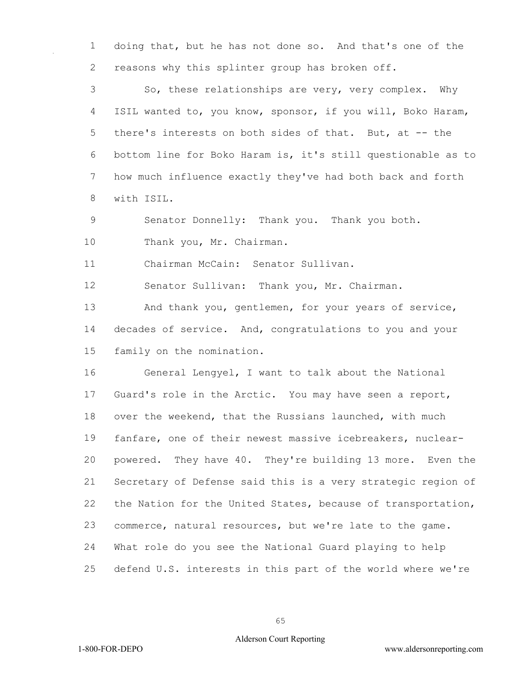doing that, but he has not done so. And that's one of the 2 reasons why this splinter group has broken off.

 So, these relationships are very, very complex. Why ISIL wanted to, you know, sponsor, if you will, Boko Haram, there's interests on both sides of that. But, at -- the bottom line for Boko Haram is, it's still questionable as to how much influence exactly they've had both back and forth with ISIL.

Senator Donnelly: Thank you. Thank you both.

10 Thank you, Mr. Chairman.

Chairman McCain: Senator Sullivan.

Senator Sullivan: Thank you, Mr. Chairman.

 And thank you, gentlemen, for your years of service, decades of service. And, congratulations to you and your family on the nomination.

 General Lengyel, I want to talk about the National Guard's role in the Arctic. You may have seen a report, over the weekend, that the Russians launched, with much fanfare, one of their newest massive icebreakers, nuclear- powered. They have 40. They're building 13 more. Even the Secretary of Defense said this is a very strategic region of the Nation for the United States, because of transportation, commerce, natural resources, but we're late to the game. What role do you see the National Guard playing to help defend U.S. interests in this part of the world where we're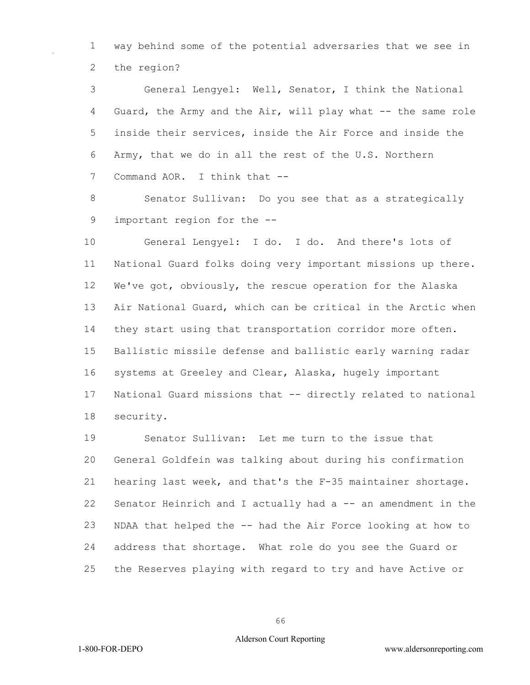way behind some of the potential adversaries that we see in the region?

 General Lengyel: Well, Senator, I think the National Guard, the Army and the Air, will play what -- the same role inside their services, inside the Air Force and inside the Army, that we do in all the rest of the U.S. Northern 7 Command AOR. I think that --

 Senator Sullivan: Do you see that as a strategically important region for the --

 General Lengyel: I do. I do. And there's lots of National Guard folks doing very important missions up there. We've got, obviously, the rescue operation for the Alaska Air National Guard, which can be critical in the Arctic when they start using that transportation corridor more often. Ballistic missile defense and ballistic early warning radar systems at Greeley and Clear, Alaska, hugely important National Guard missions that -- directly related to national security.

 Senator Sullivan: Let me turn to the issue that General Goldfein was talking about during his confirmation hearing last week, and that's the F-35 maintainer shortage. Senator Heinrich and I actually had a -- an amendment in the NDAA that helped the -- had the Air Force looking at how to address that shortage. What role do you see the Guard or the Reserves playing with regard to try and have Active or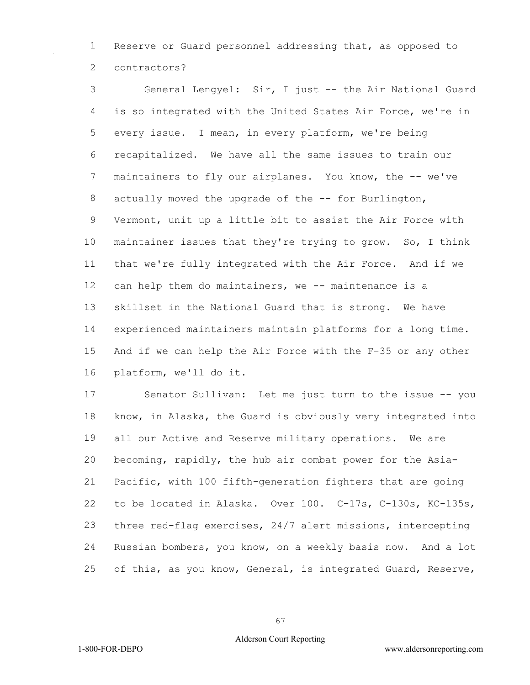Reserve or Guard personnel addressing that, as opposed to contractors?

 General Lengyel: Sir, I just -- the Air National Guard is so integrated with the United States Air Force, we're in every issue. I mean, in every platform, we're being recapitalized. We have all the same issues to train our 7 maintainers to fly our airplanes. You know, the -- we've 8 actually moved the upgrade of the -- for Burlington, Vermont, unit up a little bit to assist the Air Force with maintainer issues that they're trying to grow. So, I think that we're fully integrated with the Air Force. And if we can help them do maintainers, we -- maintenance is a skillset in the National Guard that is strong. We have experienced maintainers maintain platforms for a long time. And if we can help the Air Force with the F-35 or any other platform, we'll do it.

 Senator Sullivan: Let me just turn to the issue -- you know, in Alaska, the Guard is obviously very integrated into all our Active and Reserve military operations. We are becoming, rapidly, the hub air combat power for the Asia- Pacific, with 100 fifth-generation fighters that are going to be located in Alaska. Over 100. C-17s, C-130s, KC-135s, three red-flag exercises, 24/7 alert missions, intercepting Russian bombers, you know, on a weekly basis now. And a lot of this, as you know, General, is integrated Guard, Reserve,

## Alderson Court Reporting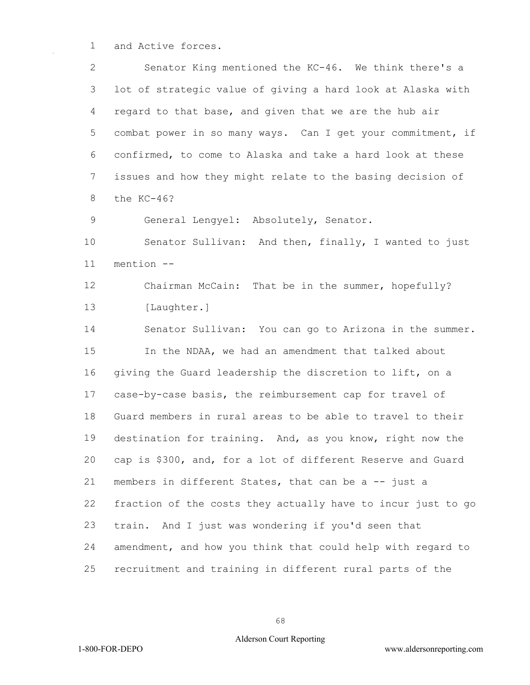and Active forces.

 Senator King mentioned the KC-46. We think there's a lot of strategic value of giving a hard look at Alaska with regard to that base, and given that we are the hub air combat power in so many ways. Can I get your commitment, if confirmed, to come to Alaska and take a hard look at these issues and how they might relate to the basing decision of the KC-46?

General Lengyel: Absolutely, Senator.

 Senator Sullivan: And then, finally, I wanted to just mention --

 Chairman McCain: That be in the summer, hopefully? [Laughter.]

 Senator Sullivan: You can go to Arizona in the summer. In the NDAA, we had an amendment that talked about giving the Guard leadership the discretion to lift, on a case-by-case basis, the reimbursement cap for travel of Guard members in rural areas to be able to travel to their destination for training. And, as you know, right now the cap is \$300, and, for a lot of different Reserve and Guard 21 members in different States, that can be a -- just a fraction of the costs they actually have to incur just to go train. And I just was wondering if you'd seen that amendment, and how you think that could help with regard to recruitment and training in different rural parts of the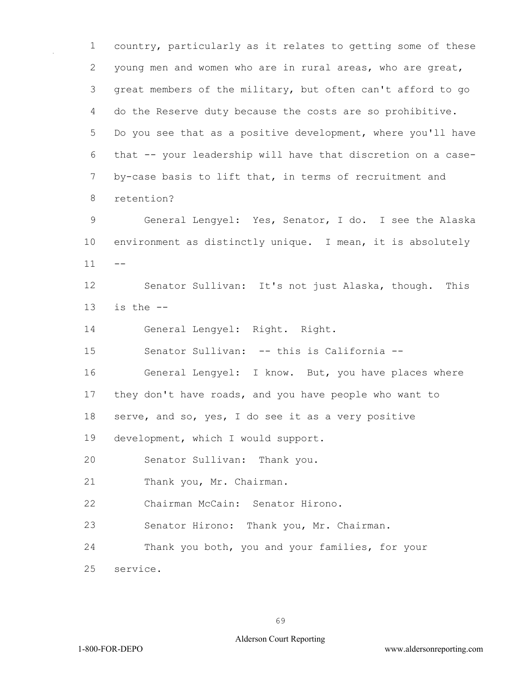country, particularly as it relates to getting some of these young men and women who are in rural areas, who are great, great members of the military, but often can't afford to go do the Reserve duty because the costs are so prohibitive. Do you see that as a positive development, where you'll have that -- your leadership will have that discretion on a case- by-case basis to lift that, in terms of recruitment and retention? General Lengyel: Yes, Senator, I do. I see the Alaska environment as distinctly unique. I mean, it is absolutely  $11 - -$  Senator Sullivan: It's not just Alaska, though. This is the  $-$  General Lengyel: Right. Right. Senator Sullivan: -- this is California -- General Lengyel: I know. But, you have places where they don't have roads, and you have people who want to serve, and so, yes, I do see it as a very positive development, which I would support. Senator Sullivan: Thank you. Thank you, Mr. Chairman. Chairman McCain: Senator Hirono. Senator Hirono: Thank you, Mr. Chairman. Thank you both, you and your families, for your service.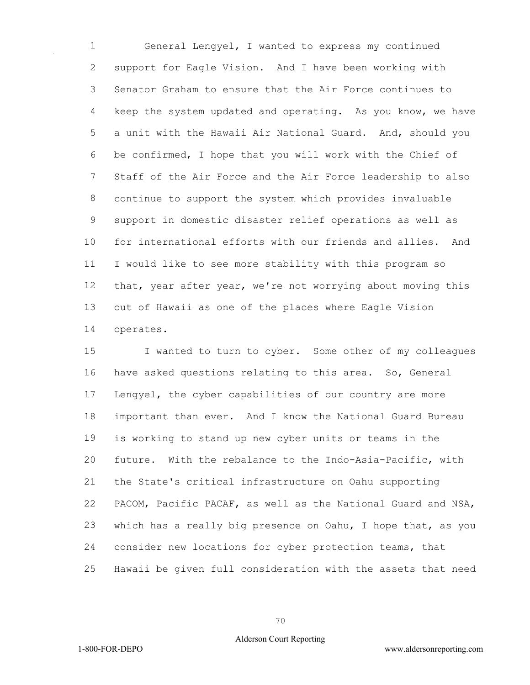General Lengyel, I wanted to express my continued support for Eagle Vision. And I have been working with Senator Graham to ensure that the Air Force continues to keep the system updated and operating. As you know, we have a unit with the Hawaii Air National Guard. And, should you be confirmed, I hope that you will work with the Chief of Staff of the Air Force and the Air Force leadership to also continue to support the system which provides invaluable support in domestic disaster relief operations as well as for international efforts with our friends and allies. And I would like to see more stability with this program so that, year after year, we're not worrying about moving this out of Hawaii as one of the places where Eagle Vision operates.

 I wanted to turn to cyber. Some other of my colleagues have asked questions relating to this area. So, General Lengyel, the cyber capabilities of our country are more important than ever. And I know the National Guard Bureau is working to stand up new cyber units or teams in the future. With the rebalance to the Indo-Asia-Pacific, with the State's critical infrastructure on Oahu supporting PACOM, Pacific PACAF, as well as the National Guard and NSA, which has a really big presence on Oahu, I hope that, as you consider new locations for cyber protection teams, that Hawaii be given full consideration with the assets that need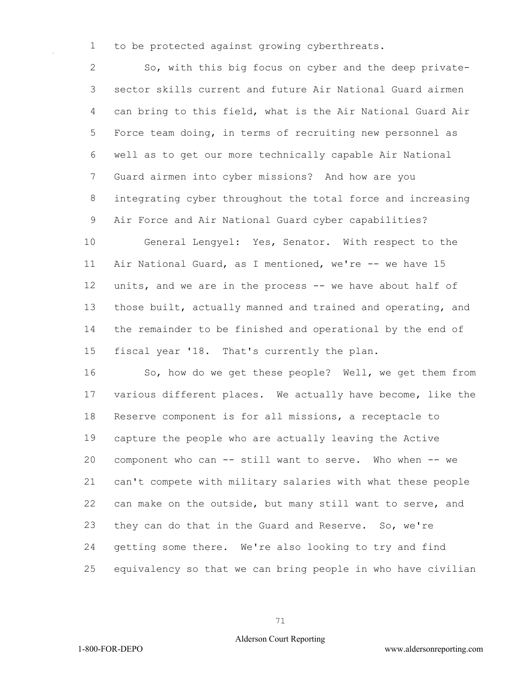to be protected against growing cyberthreats.

 So, with this big focus on cyber and the deep private- sector skills current and future Air National Guard airmen can bring to this field, what is the Air National Guard Air Force team doing, in terms of recruiting new personnel as well as to get our more technically capable Air National Guard airmen into cyber missions? And how are you integrating cyber throughout the total force and increasing Air Force and Air National Guard cyber capabilities?

 General Lengyel: Yes, Senator. With respect to the Air National Guard, as I mentioned, we're -- we have 15 units, and we are in the process -- we have about half of those built, actually manned and trained and operating, and the remainder to be finished and operational by the end of fiscal year '18. That's currently the plan.

16 So, how do we get these people? Well, we get them from various different places. We actually have become, like the Reserve component is for all missions, a receptacle to capture the people who are actually leaving the Active component who can -- still want to serve. Who when -- we can't compete with military salaries with what these people can make on the outside, but many still want to serve, and they can do that in the Guard and Reserve. So, we're getting some there. We're also looking to try and find equivalency so that we can bring people in who have civilian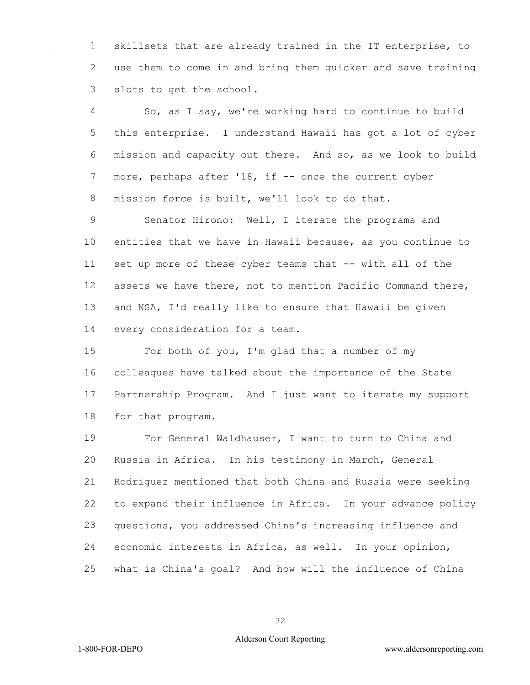skillsets that are already trained in the IT enterprise, to use them to come in and bring them quicker and save training slots to get the school.

 So, as I say, we're working hard to continue to build this enterprise. I understand Hawaii has got a lot of cyber mission and capacity out there. And so, as we look to build 7 more, perhaps after '18, if -- once the current cyber mission force is built, we'll look to do that.

 Senator Hirono: Well, I iterate the programs and entities that we have in Hawaii because, as you continue to set up more of these cyber teams that -- with all of the assets we have there, not to mention Pacific Command there, and NSA, I'd really like to ensure that Hawaii be given every consideration for a team.

 For both of you, I'm glad that a number of my colleagues have talked about the importance of the State Partnership Program. And I just want to iterate my support for that program.

 For General Waldhauser, I want to turn to China and Russia in Africa. In his testimony in March, General Rodriguez mentioned that both China and Russia were seeking to expand their influence in Africa. In your advance policy questions, you addressed China's increasing influence and economic interests in Africa, as well. In your opinion, what is China's goal? And how will the influence of China

1-800-FOR-DEPO www.aldersonreporting.com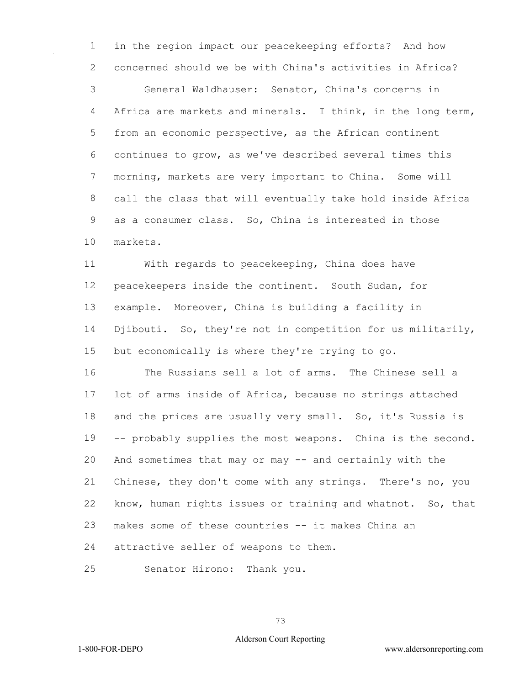in the region impact our peacekeeping efforts? And how concerned should we be with China's activities in Africa?

 General Waldhauser: Senator, China's concerns in Africa are markets and minerals. I think, in the long term, from an economic perspective, as the African continent continues to grow, as we've described several times this morning, markets are very important to China. Some will call the class that will eventually take hold inside Africa as a consumer class. So, China is interested in those markets.

 With regards to peacekeeping, China does have peacekeepers inside the continent. South Sudan, for example. Moreover, China is building a facility in Djibouti. So, they're not in competition for us militarily, but economically is where they're trying to go.

 The Russians sell a lot of arms. The Chinese sell a lot of arms inside of Africa, because no strings attached 18 and the prices are usually very small. So, it's Russia is -- probably supplies the most weapons. China is the second. And sometimes that may or may -- and certainly with the Chinese, they don't come with any strings. There's no, you know, human rights issues or training and whatnot. So, that makes some of these countries -- it makes China an attractive seller of weapons to them.

Senator Hirono: Thank you.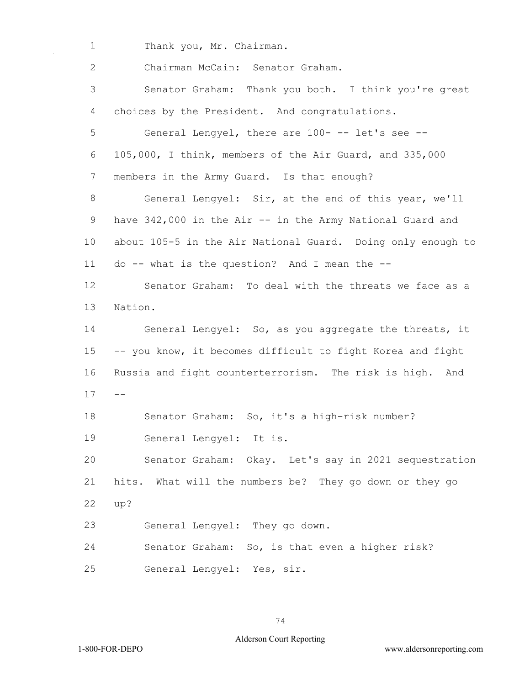1 Thank you, Mr. Chairman.

 Chairman McCain: Senator Graham. Senator Graham: Thank you both. I think you're great choices by the President. And congratulations. General Lengyel, there are 100- -- let's see -- 105,000, I think, members of the Air Guard, and 335,000 members in the Army Guard. Is that enough? General Lengyel: Sir, at the end of this year, we'll have 342,000 in the Air -- in the Army National Guard and about 105-5 in the Air National Guard. Doing only enough to do -- what is the question? And I mean the -- Senator Graham: To deal with the threats we face as a Nation. General Lengyel: So, as you aggregate the threats, it -- you know, it becomes difficult to fight Korea and fight Russia and fight counterterrorism. The risk is high. And  $17 - -$  Senator Graham: So, it's a high-risk number? General Lengyel: It is. Senator Graham: Okay. Let's say in 2021 sequestration hits. What will the numbers be? They go down or they go up? General Lengyel: They go down. Senator Graham: So, is that even a higher risk? General Lengyel: Yes, sir.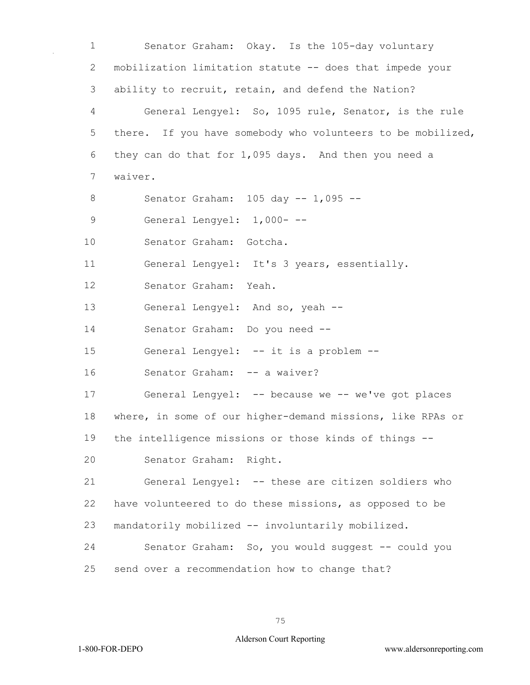Senator Graham: Okay. Is the 105-day voluntary mobilization limitation statute -- does that impede your ability to recruit, retain, and defend the Nation? General Lengyel: So, 1095 rule, Senator, is the rule 5 there. If you have somebody who volunteers to be mobilized, they can do that for 1,095 days. And then you need a waiver. Senator Graham: 105 day -- 1,095 -- General Lengyel: 1,000- -- Senator Graham: Gotcha. General Lengyel: It's 3 years, essentially. Senator Graham: Yeah. General Lengyel: And so, yeah -- Senator Graham: Do you need -- General Lengyel: -- it is a problem -- 16 Senator Graham: -- a waiver? General Lengyel: -- because we -- we've got places where, in some of our higher-demand missions, like RPAs or the intelligence missions or those kinds of things -- Senator Graham: Right. General Lengyel: -- these are citizen soldiers who have volunteered to do these missions, as opposed to be mandatorily mobilized -- involuntarily mobilized. Senator Graham: So, you would suggest -- could you send over a recommendation how to change that?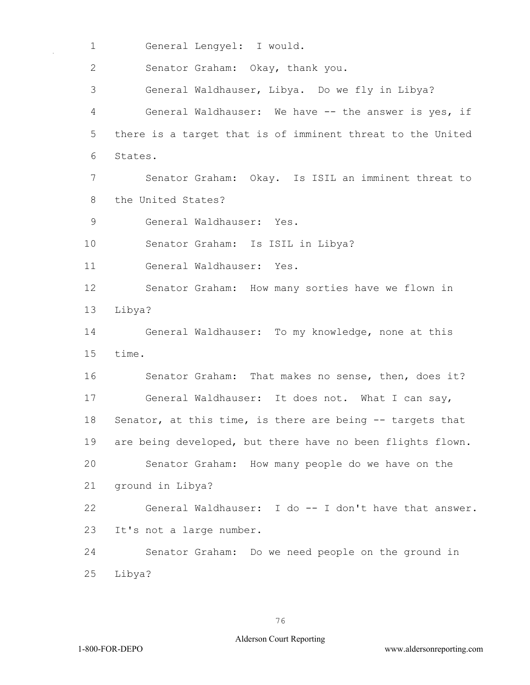1 General Lengyel: I would.

2 Senator Graham: Okay, thank you.

3 General Waldhauser, Libya. Do we fly in Libya? 4 General Waldhauser: We have -- the answer is yes, if 5 there is a target that is of imminent threat to the United 6 States.

7 Senator Graham: Okay. Is ISIL an imminent threat to 8 the United States?

9 General Waldhauser: Yes.

10 Senator Graham: Is ISIL in Libya?

11 General Waldhauser: Yes.

12 Senator Graham: How many sorties have we flown in 13 Libya?

14 General Waldhauser: To my knowledge, none at this 15 time.

16 Senator Graham: That makes no sense, then, does it? 17 General Waldhauser: It does not. What I can say, 18 Senator, at this time, is there are being -- targets that 19 are being developed, but there have no been flights flown. 20 Senator Graham: How many people do we have on the 21 ground in Libya? 22 General Waldhauser: I do -- I don't have that answer. 23 It's not a large number.

24 Senator Graham: Do we need people on the ground in 25 Libya?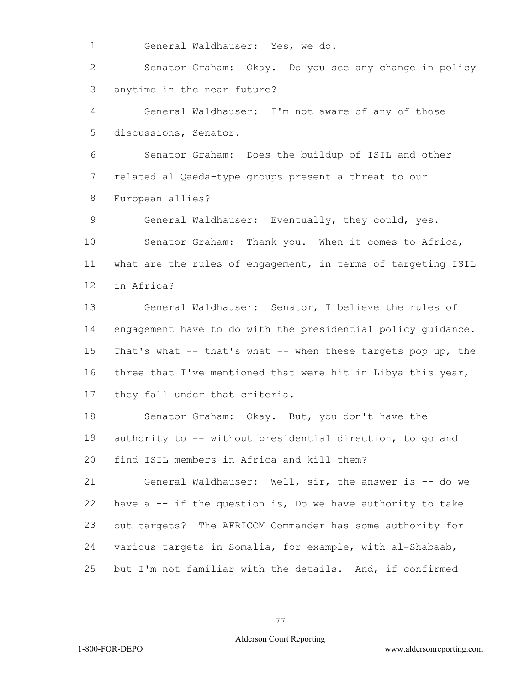General Waldhauser: Yes, we do.

 Senator Graham: Okay. Do you see any change in policy anytime in the near future?

 General Waldhauser: I'm not aware of any of those discussions, Senator.

 Senator Graham: Does the buildup of ISIL and other related al Qaeda-type groups present a threat to our European allies?

 General Waldhauser: Eventually, they could, yes. Senator Graham: Thank you. When it comes to Africa, what are the rules of engagement, in terms of targeting ISIL in Africa?

 General Waldhauser: Senator, I believe the rules of engagement have to do with the presidential policy guidance. That's what -- that's what -- when these targets pop up, the three that I've mentioned that were hit in Libya this year, they fall under that criteria.

 Senator Graham: Okay. But, you don't have the authority to -- without presidential direction, to go and find ISIL members in Africa and kill them?

 General Waldhauser: Well, sir, the answer is -- do we have a -- if the question is, Do we have authority to take out targets? The AFRICOM Commander has some authority for various targets in Somalia, for example, with al-Shabaab, but I'm not familiar with the details. And, if confirmed --

1-800-FOR-DEPO www.aldersonreporting.com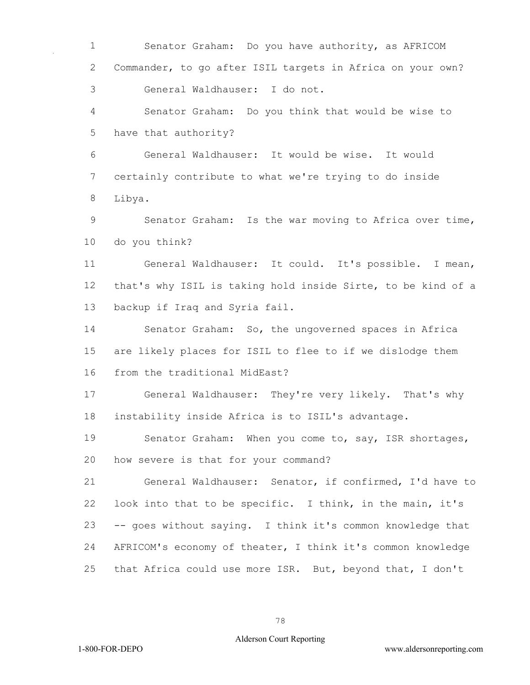Senator Graham: Do you have authority, as AFRICOM Commander, to go after ISIL targets in Africa on your own? General Waldhauser: I do not.

 Senator Graham: Do you think that would be wise to have that authority?

 General Waldhauser: It would be wise. It would certainly contribute to what we're trying to do inside Libya.

 Senator Graham: Is the war moving to Africa over time, do you think?

 General Waldhauser: It could. It's possible. I mean, that's why ISIL is taking hold inside Sirte, to be kind of a backup if Iraq and Syria fail.

 Senator Graham: So, the ungoverned spaces in Africa are likely places for ISIL to flee to if we dislodge them from the traditional MidEast?

 General Waldhauser: They're very likely. That's why instability inside Africa is to ISIL's advantage.

 Senator Graham: When you come to, say, ISR shortages, how severe is that for your command?

 General Waldhauser: Senator, if confirmed, I'd have to look into that to be specific. I think, in the main, it's -- goes without saying. I think it's common knowledge that AFRICOM's economy of theater, I think it's common knowledge that Africa could use more ISR. But, beyond that, I don't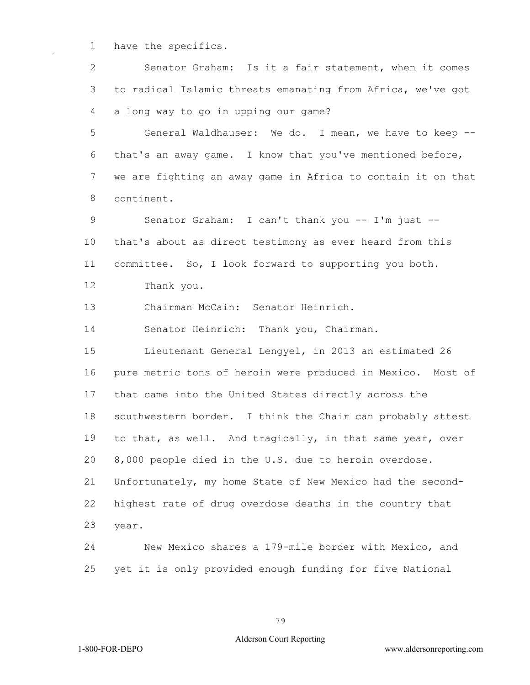have the specifics.

 Senator Graham: Is it a fair statement, when it comes to radical Islamic threats emanating from Africa, we've got a long way to go in upping our game?

 General Waldhauser: We do. I mean, we have to keep -- that's an away game. I know that you've mentioned before, we are fighting an away game in Africa to contain it on that continent.

 Senator Graham: I can't thank you -- I'm just -- that's about as direct testimony as ever heard from this committee. So, I look forward to supporting you both.

Thank you.

Chairman McCain: Senator Heinrich.

Senator Heinrich: Thank you, Chairman.

 Lieutenant General Lengyel, in 2013 an estimated 26 pure metric tons of heroin were produced in Mexico. Most of that came into the United States directly across the southwestern border. I think the Chair can probably attest to that, as well. And tragically, in that same year, over 8,000 people died in the U.S. due to heroin overdose. Unfortunately, my home State of New Mexico had the second- highest rate of drug overdose deaths in the country that year.

 New Mexico shares a 179-mile border with Mexico, and yet it is only provided enough funding for five National

1-800-FOR-DEPO www.aldersonreporting.com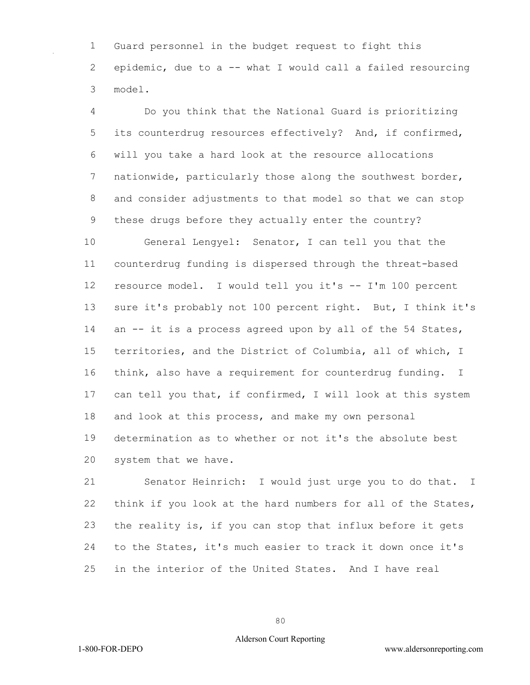Guard personnel in the budget request to fight this epidemic, due to a -- what I would call a failed resourcing model.

 Do you think that the National Guard is prioritizing its counterdrug resources effectively? And, if confirmed, will you take a hard look at the resource allocations nationwide, particularly those along the southwest border, and consider adjustments to that model so that we can stop these drugs before they actually enter the country?

 General Lengyel: Senator, I can tell you that the counterdrug funding is dispersed through the threat-based resource model. I would tell you it's -- I'm 100 percent sure it's probably not 100 percent right. But, I think it's 14 an -- it is a process agreed upon by all of the 54 States, territories, and the District of Columbia, all of which, I think, also have a requirement for counterdrug funding. I 17 can tell you that, if confirmed, I will look at this system and look at this process, and make my own personal determination as to whether or not it's the absolute best system that we have.

 Senator Heinrich: I would just urge you to do that. I think if you look at the hard numbers for all of the States, the reality is, if you can stop that influx before it gets to the States, it's much easier to track it down once it's in the interior of the United States. And I have real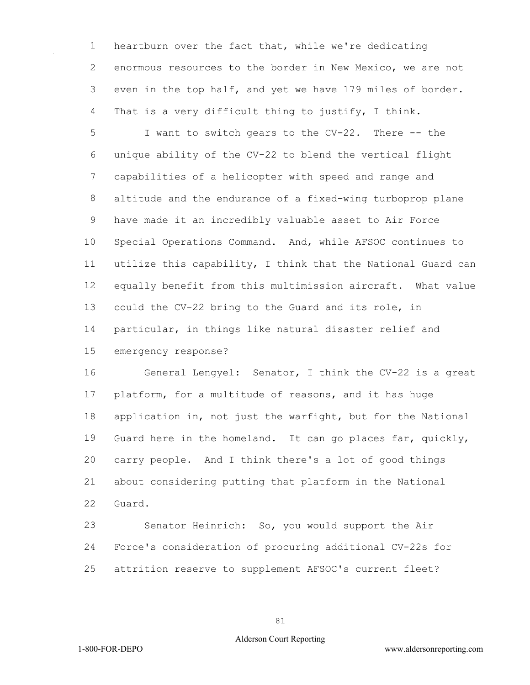heartburn over the fact that, while we're dedicating enormous resources to the border in New Mexico, we are not even in the top half, and yet we have 179 miles of border. That is a very difficult thing to justify, I think.

 I want to switch gears to the CV-22. There -- the unique ability of the CV-22 to blend the vertical flight capabilities of a helicopter with speed and range and altitude and the endurance of a fixed-wing turboprop plane have made it an incredibly valuable asset to Air Force Special Operations Command. And, while AFSOC continues to utilize this capability, I think that the National Guard can equally benefit from this multimission aircraft. What value could the CV-22 bring to the Guard and its role, in particular, in things like natural disaster relief and emergency response?

 General Lengyel: Senator, I think the CV-22 is a great platform, for a multitude of reasons, and it has huge application in, not just the warfight, but for the National Guard here in the homeland. It can go places far, quickly, carry people. And I think there's a lot of good things about considering putting that platform in the National Guard.

 Senator Heinrich: So, you would support the Air Force's consideration of procuring additional CV-22s for attrition reserve to supplement AFSOC's current fleet?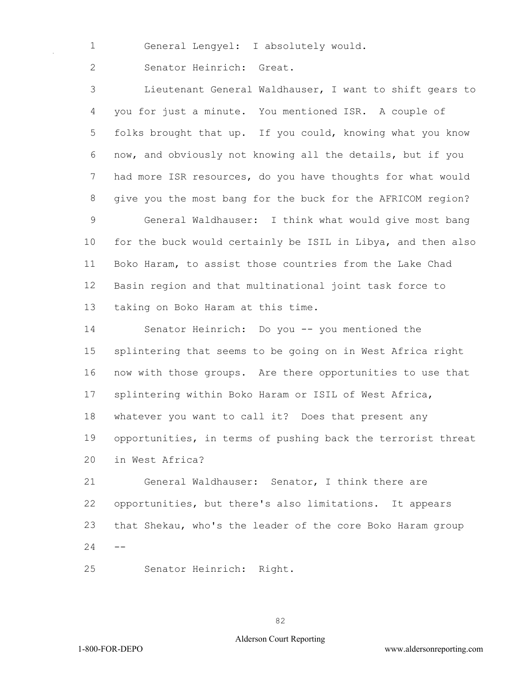General Lengyel: I absolutely would.

Senator Heinrich: Great.

 Lieutenant General Waldhauser, I want to shift gears to you for just a minute. You mentioned ISR. A couple of folks brought that up. If you could, knowing what you know now, and obviously not knowing all the details, but if you had more ISR resources, do you have thoughts for what would give you the most bang for the buck for the AFRICOM region? General Waldhauser: I think what would give most bang for the buck would certainly be ISIL in Libya, and then also Boko Haram, to assist those countries from the Lake Chad Basin region and that multinational joint task force to taking on Boko Haram at this time.

 Senator Heinrich: Do you -- you mentioned the splintering that seems to be going on in West Africa right now with those groups. Are there opportunities to use that splintering within Boko Haram or ISIL of West Africa, whatever you want to call it? Does that present any opportunities, in terms of pushing back the terrorist threat in West Africa?

 General Waldhauser: Senator, I think there are opportunities, but there's also limitations. It appears that Shekau, who's the leader of the core Boko Haram group  $24 - -$ 

Senator Heinrich: Right.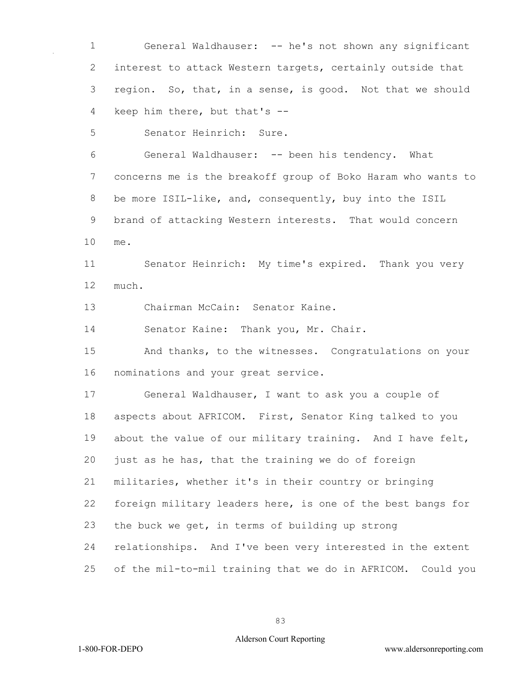General Waldhauser: -- he's not shown any significant interest to attack Western targets, certainly outside that region. So, that, in a sense, is good. Not that we should keep him there, but that's --

Senator Heinrich: Sure.

 General Waldhauser: -- been his tendency. What concerns me is the breakoff group of Boko Haram who wants to be more ISIL-like, and, consequently, buy into the ISIL brand of attacking Western interests. That would concern me.

 Senator Heinrich: My time's expired. Thank you very much.

Chairman McCain: Senator Kaine.

Senator Kaine: Thank you, Mr. Chair.

 And thanks, to the witnesses. Congratulations on your nominations and your great service.

 General Waldhauser, I want to ask you a couple of aspects about AFRICOM. First, Senator King talked to you 19 about the value of our military training. And I have felt, just as he has, that the training we do of foreign militaries, whether it's in their country or bringing foreign military leaders here, is one of the best bangs for the buck we get, in terms of building up strong relationships. And I've been very interested in the extent of the mil-to-mil training that we do in AFRICOM. Could you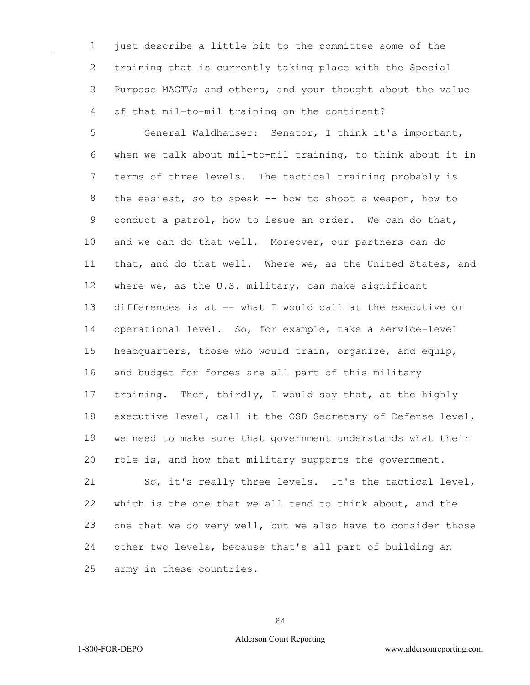just describe a little bit to the committee some of the training that is currently taking place with the Special Purpose MAGTVs and others, and your thought about the value of that mil-to-mil training on the continent?

 General Waldhauser: Senator, I think it's important, when we talk about mil-to-mil training, to think about it in terms of three levels. The tactical training probably is the easiest, so to speak -- how to shoot a weapon, how to conduct a patrol, how to issue an order. We can do that, and we can do that well. Moreover, our partners can do that, and do that well. Where we, as the United States, and where we, as the U.S. military, can make significant differences is at -- what I would call at the executive or operational level. So, for example, take a service-level headquarters, those who would train, organize, and equip, and budget for forces are all part of this military training. Then, thirdly, I would say that, at the highly executive level, call it the OSD Secretary of Defense level, we need to make sure that government understands what their role is, and how that military supports the government.

 So, it's really three levels. It's the tactical level, which is the one that we all tend to think about, and the one that we do very well, but we also have to consider those other two levels, because that's all part of building an army in these countries.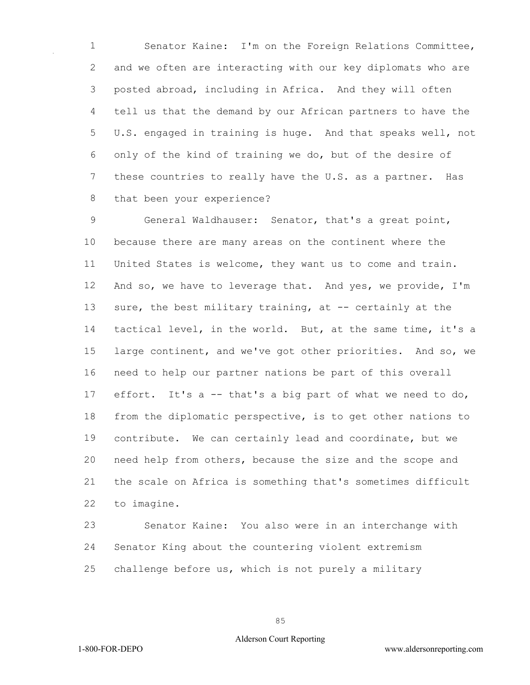Senator Kaine: I'm on the Foreign Relations Committee, and we often are interacting with our key diplomats who are posted abroad, including in Africa. And they will often tell us that the demand by our African partners to have the U.S. engaged in training is huge. And that speaks well, not only of the kind of training we do, but of the desire of these countries to really have the U.S. as a partner. Has that been your experience?

 General Waldhauser: Senator, that's a great point, because there are many areas on the continent where the United States is welcome, they want us to come and train. And so, we have to leverage that. And yes, we provide, I'm sure, the best military training, at -- certainly at the tactical level, in the world. But, at the same time, it's a large continent, and we've got other priorities. And so, we need to help our partner nations be part of this overall effort. It's a -- that's a big part of what we need to do, from the diplomatic perspective, is to get other nations to contribute. We can certainly lead and coordinate, but we need help from others, because the size and the scope and the scale on Africa is something that's sometimes difficult to imagine.

 Senator Kaine: You also were in an interchange with Senator King about the countering violent extremism challenge before us, which is not purely a military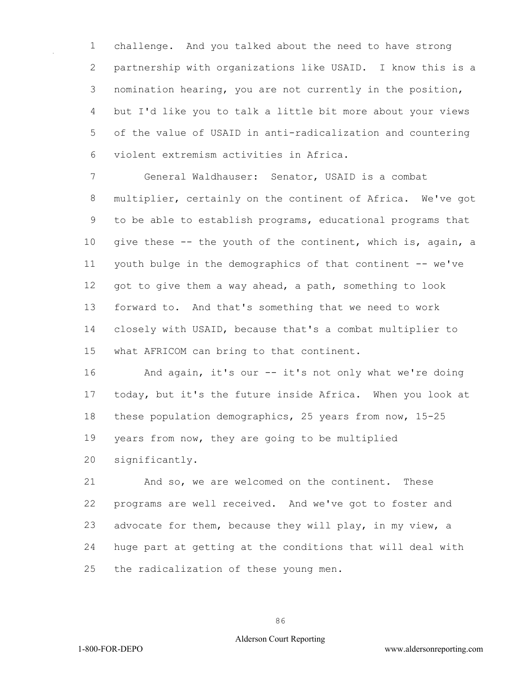challenge. And you talked about the need to have strong partnership with organizations like USAID. I know this is a nomination hearing, you are not currently in the position, but I'd like you to talk a little bit more about your views of the value of USAID in anti-radicalization and countering violent extremism activities in Africa.

 General Waldhauser: Senator, USAID is a combat multiplier, certainly on the continent of Africa. We've got to be able to establish programs, educational programs that give these -- the youth of the continent, which is, again, a youth bulge in the demographics of that continent -- we've got to give them a way ahead, a path, something to look forward to. And that's something that we need to work closely with USAID, because that's a combat multiplier to what AFRICOM can bring to that continent.

 And again, it's our -- it's not only what we're doing today, but it's the future inside Africa. When you look at these population demographics, 25 years from now, 15-25 years from now, they are going to be multiplied

significantly.

 And so, we are welcomed on the continent. These programs are well received. And we've got to foster and advocate for them, because they will play, in my view, a huge part at getting at the conditions that will deal with the radicalization of these young men.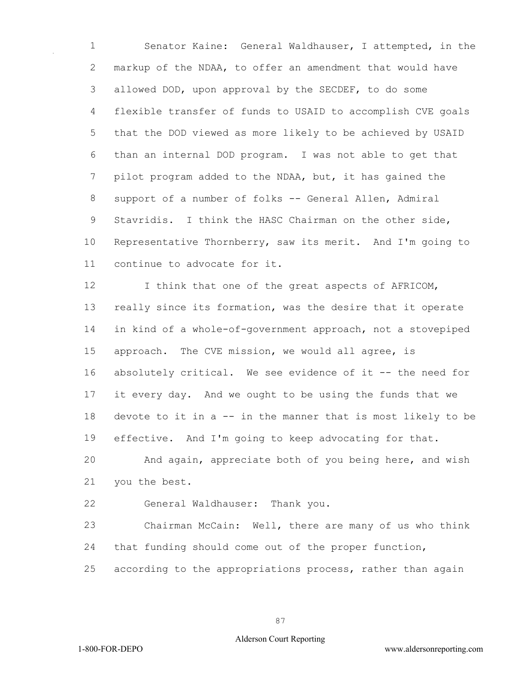Senator Kaine: General Waldhauser, I attempted, in the markup of the NDAA, to offer an amendment that would have allowed DOD, upon approval by the SECDEF, to do some flexible transfer of funds to USAID to accomplish CVE goals that the DOD viewed as more likely to be achieved by USAID than an internal DOD program. I was not able to get that pilot program added to the NDAA, but, it has gained the support of a number of folks -- General Allen, Admiral Stavridis. I think the HASC Chairman on the other side, Representative Thornberry, saw its merit. And I'm going to continue to advocate for it.

12 I think that one of the great aspects of AFRICOM, really since its formation, was the desire that it operate in kind of a whole-of-government approach, not a stovepiped approach. The CVE mission, we would all agree, is 16 absolutely critical. We see evidence of it -- the need for it every day. And we ought to be using the funds that we 18 devote to it in a -- in the manner that is most likely to be effective. And I'm going to keep advocating for that.

 And again, appreciate both of you being here, and wish you the best.

General Waldhauser: Thank you.

 Chairman McCain: Well, there are many of us who think that funding should come out of the proper function,

according to the appropriations process, rather than again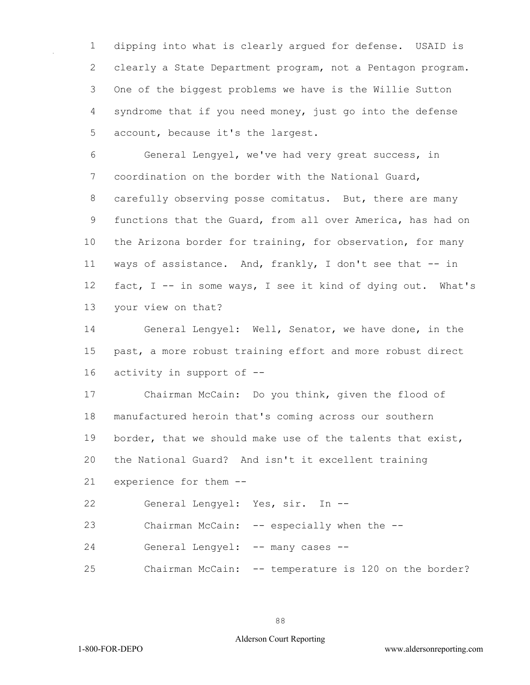dipping into what is clearly argued for defense. USAID is clearly a State Department program, not a Pentagon program. One of the biggest problems we have is the Willie Sutton syndrome that if you need money, just go into the defense account, because it's the largest.

 General Lengyel, we've had very great success, in coordination on the border with the National Guard, carefully observing posse comitatus. But, there are many functions that the Guard, from all over America, has had on the Arizona border for training, for observation, for many ways of assistance. And, frankly, I don't see that -- in fact, I -- in some ways, I see it kind of dying out. What's your view on that?

 General Lengyel: Well, Senator, we have done, in the past, a more robust training effort and more robust direct activity in support of --

 Chairman McCain: Do you think, given the flood of manufactured heroin that's coming across our southern 19 border, that we should make use of the talents that exist, the National Guard? And isn't it excellent training experience for them --

General Lengyel: Yes, sir. In --

23 Chairman McCain: -- especially when the --

General Lengyel: -- many cases --

Chairman McCain: -- temperature is 120 on the border?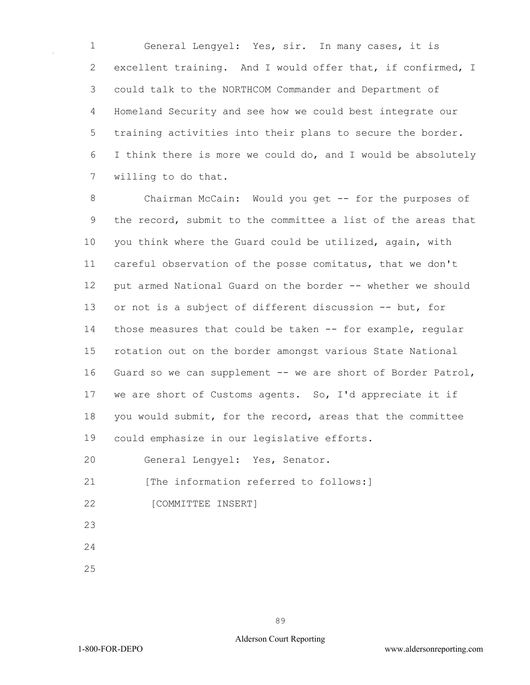General Lengyel: Yes, sir. In many cases, it is excellent training. And I would offer that, if confirmed, I could talk to the NORTHCOM Commander and Department of Homeland Security and see how we could best integrate our training activities into their plans to secure the border. I think there is more we could do, and I would be absolutely willing to do that.

 Chairman McCain: Would you get -- for the purposes of the record, submit to the committee a list of the areas that you think where the Guard could be utilized, again, with careful observation of the posse comitatus, that we don't put armed National Guard on the border -- whether we should or not is a subject of different discussion -- but, for those measures that could be taken -- for example, regular rotation out on the border amongst various State National 16 Guard so we can supplement -- we are short of Border Patrol, we are short of Customs agents. So, I'd appreciate it if you would submit, for the record, areas that the committee could emphasize in our legislative efforts.

General Lengyel: Yes, Senator.

21 [The information referred to follows:]

- 22 [COMMITTEE INSERT]
- 
- 
-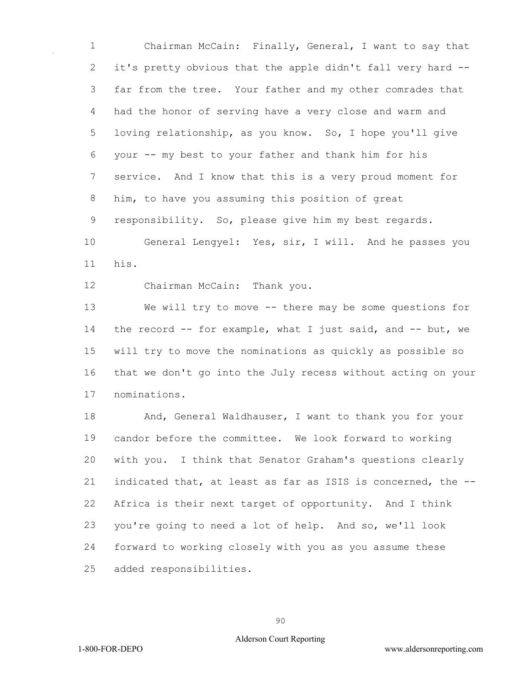Chairman McCain: Finally, General, I want to say that it's pretty obvious that the apple didn't fall very hard -- far from the tree. Your father and my other comrades that had the honor of serving have a very close and warm and loving relationship, as you know. So, I hope you'll give your -- my best to your father and thank him for his service. And I know that this is a very proud moment for him, to have you assuming this position of great responsibility. So, please give him my best regards.

 General Lengyel: Yes, sir, I will. And he passes you his.

Chairman McCain: Thank you.

 We will try to move -- there may be some questions for the record -- for example, what I just said, and -- but, we will try to move the nominations as quickly as possible so that we don't go into the July recess without acting on your nominations.

 And, General Waldhauser, I want to thank you for your candor before the committee. We look forward to working with you. I think that Senator Graham's questions clearly indicated that, at least as far as ISIS is concerned, the -- Africa is their next target of opportunity. And I think you're going to need a lot of help. And so, we'll look forward to working closely with you as you assume these added responsibilities.